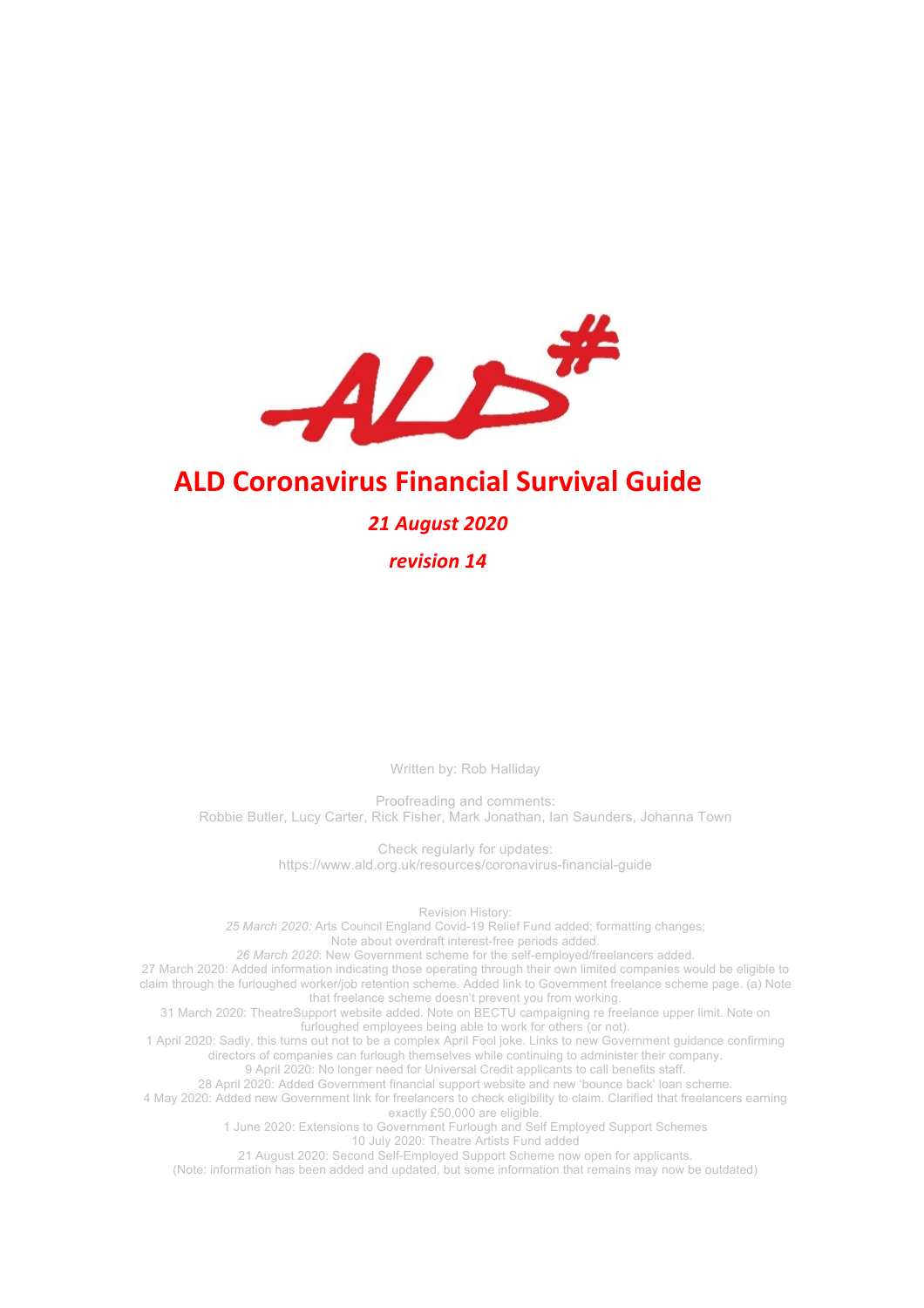

# **ALD Coronavirus Financial Survival Guide**

#### *21 August 2020*

*revision 14*

Written by: Rob Halliday

Proofreading and comments: Robbie Butler, Lucy Carter, Rick Fisher, Mark Jonathan, Ian Saunders, Johanna Town

> Check regularly for updates: https://www.ald.org.uk/resources/coronavirus-financial-guide

Revision History: *25 March 2020:* Arts Council England Covid-19 Relief Fund added; formatting changes; Note about overdraft interest-free periods added. *26 March 2020*: New Government scheme for the self-employed/freelancers added. 27 March 2020: Added information indicating those operating through their own limited companies would be eligible to claim through the furloughed worker/job retention scheme. Added link to Government freelance scheme page. (a) Note that freelance scheme doesn't prevent you from working. 31 March 2020: TheatreSupport website added. Note on BECTU campaigning re freelance upper limit. Note on furloughed employees being able to work for others (or not). 1 April 2020: Sadly, this turns out not to be a complex April Fool joke. Links to new Government guidance confirming directors of companies can furlough themselves while continuing to administer their company. 9 April 2020: No longer need for Universal Credit applicants to call benefits staff. 28 April 2020: Added Government financial support website and new 'bounce back' loan scheme. 4 May 2020: Added new Government link for freelancers to check eligibility to claim. Clarified that freelancers earning exactly £50,000 are eligible. 1 June 2020: Extensions to Government Furlough and Self Employed Support Schemes 10 July 2020: Theatre Artists Fund added 21 August 2020: Second Self-Employed Support Scheme now open for applicants. (Note: information has been added and updated, but some information that remains may now be outdated)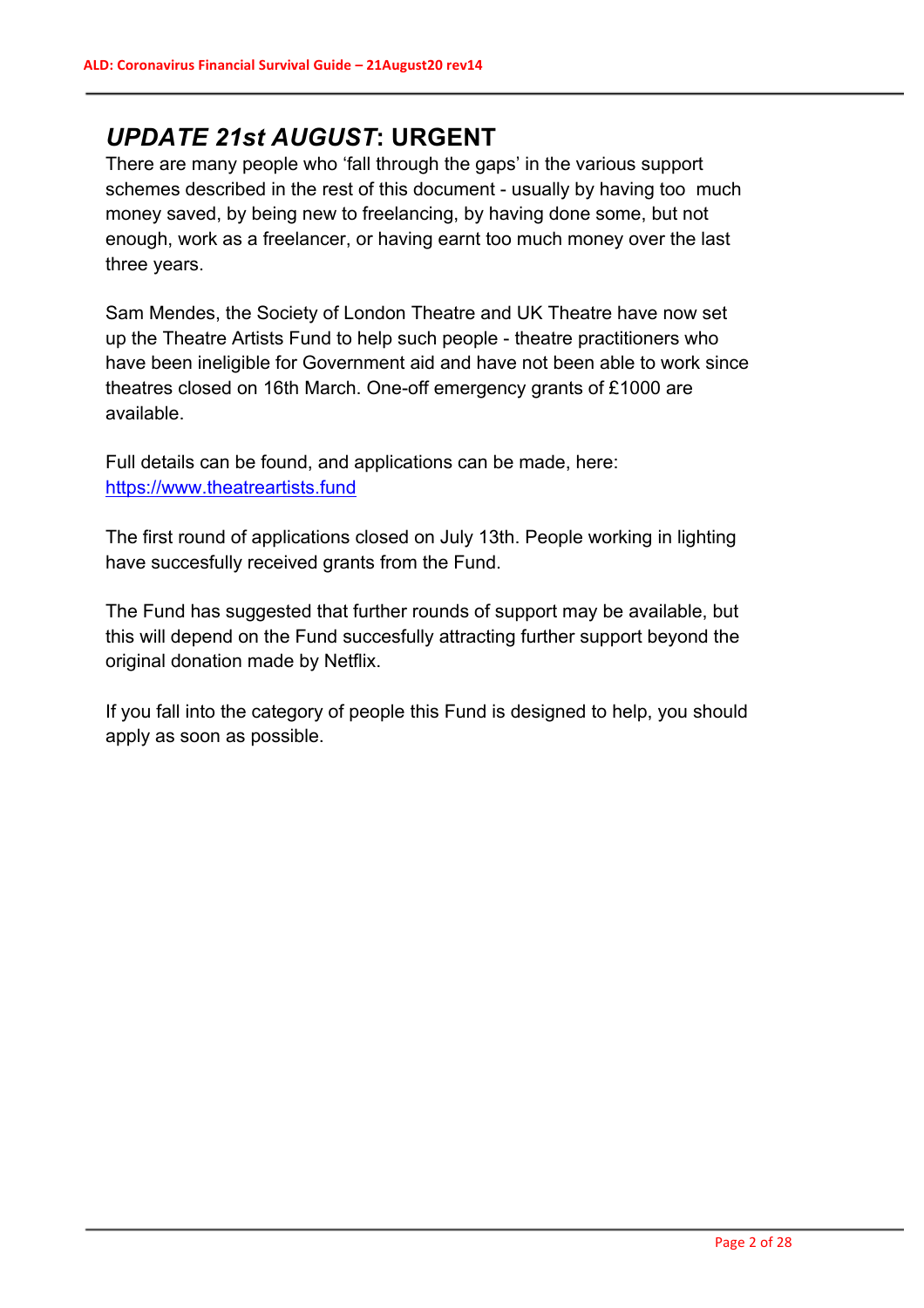# *UPDATE 21st AUGUST***: URGENT**

There are many people who 'fall through the gaps' in the various support schemes described in the rest of this document - usually by having too much money saved, by being new to freelancing, by having done some, but not enough, work as a freelancer, or having earnt too much money over the last three years.

Sam Mendes, the Society of London Theatre and UK Theatre have now set up the Theatre Artists Fund to help such people - theatre practitioners who have been ineligible for Government aid and have not been able to work since theatres closed on 16th March. One-off emergency grants of £1000 are available.

Full details can be found, and applications can be made, here: https://www.theatreartists.fund

The first round of applications closed on July 13th. People working in lighting have succesfully received grants from the Fund.

The Fund has suggested that further rounds of support may be available, but this will depend on the Fund succesfully attracting further support beyond the original donation made by Netflix.

If you fall into the category of people this Fund is designed to help, you should apply as soon as possible.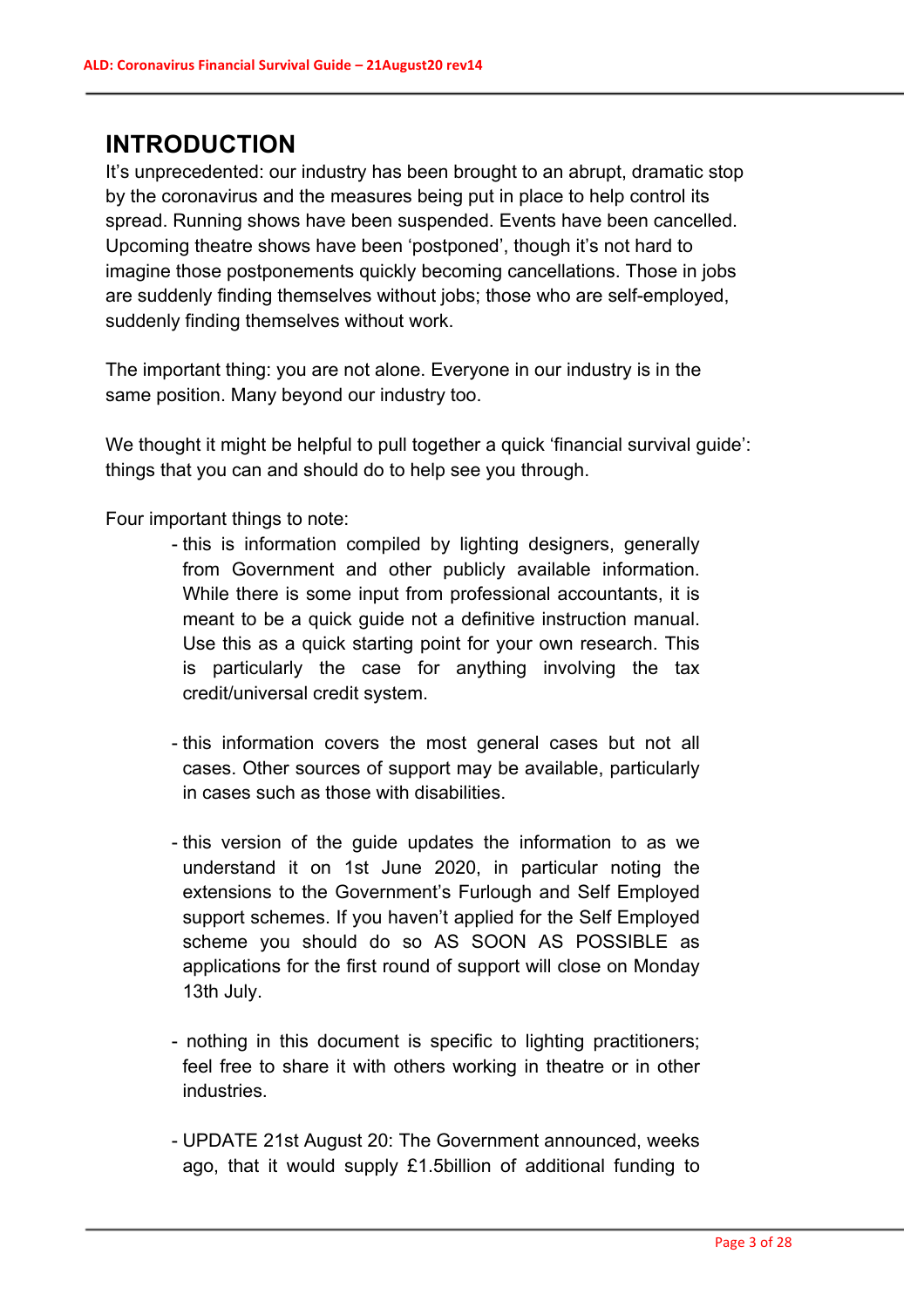# **INTRODUCTION**

It's unprecedented: our industry has been brought to an abrupt, dramatic stop by the coronavirus and the measures being put in place to help control its spread. Running shows have been suspended. Events have been cancelled. Upcoming theatre shows have been 'postponed', though it's not hard to imagine those postponements quickly becoming cancellations. Those in jobs are suddenly finding themselves without jobs; those who are self-employed, suddenly finding themselves without work.

The important thing: you are not alone. Everyone in our industry is in the same position. Many beyond our industry too.

We thought it might be helpful to pull together a quick 'financial survival guide': things that you can and should do to help see you through.

Four important things to note:

- this is information compiled by lighting designers, generally from Government and other publicly available information. While there is some input from professional accountants, it is meant to be a quick guide not a definitive instruction manual. Use this as a quick starting point for your own research. This is particularly the case for anything involving the tax credit/universal credit system.
- this information covers the most general cases but not all cases. Other sources of support may be available, particularly in cases such as those with disabilities.
- this version of the guide updates the information to as we understand it on 1st June 2020, in particular noting the extensions to the Government's Furlough and Self Employed support schemes. If you haven't applied for the Self Employed scheme you should do so AS SOON AS POSSIBLE as applications for the first round of support will close on Monday 13th July.
- nothing in this document is specific to lighting practitioners; feel free to share it with others working in theatre or in other industries.
- UPDATE 21st August 20: The Government announced, weeks ago, that it would supply £1.5billion of additional funding to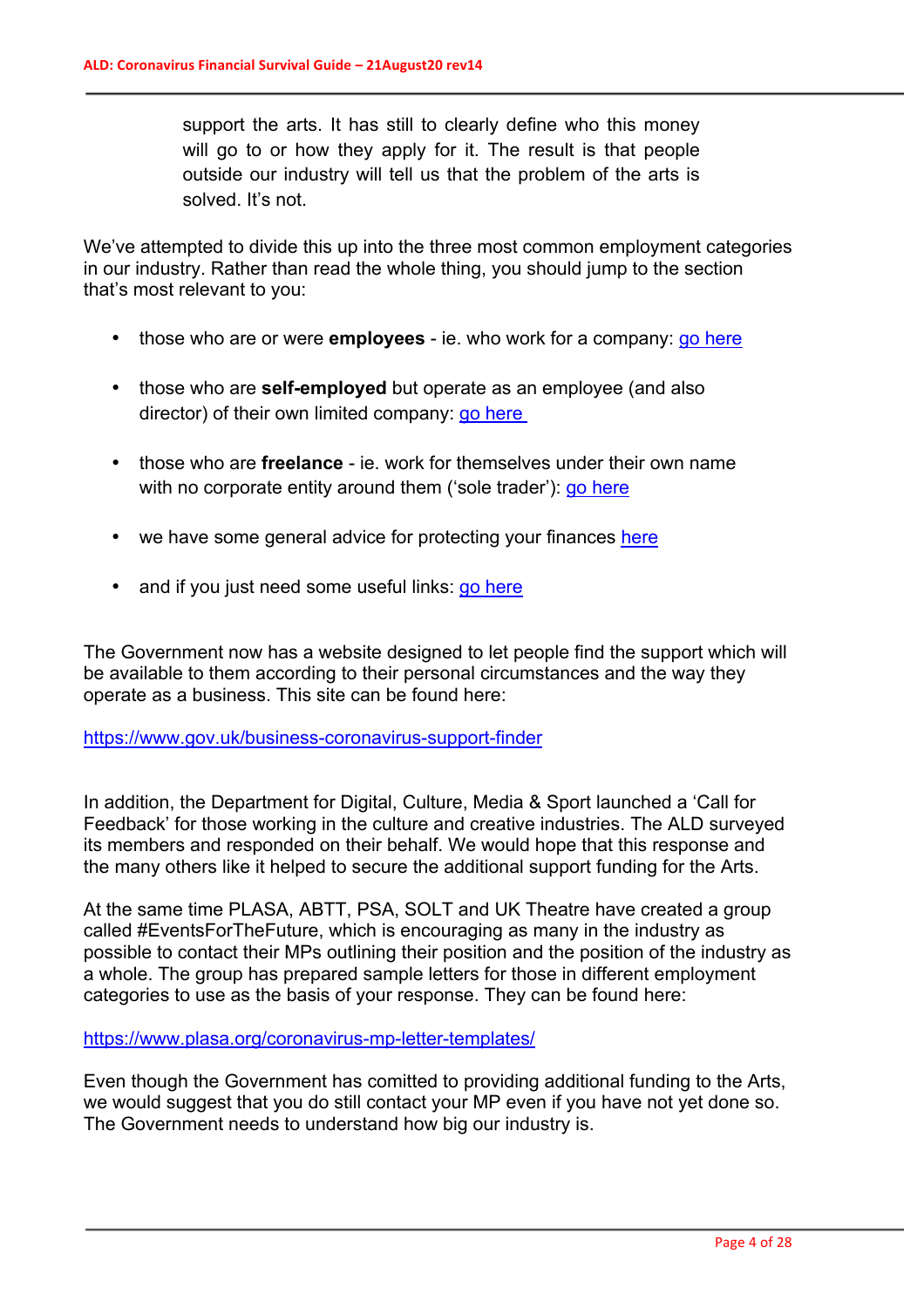support the arts. It has still to clearly define who this money will go to or how they apply for it. The result is that people outside our industry will tell us that the problem of the arts is solved. It's not.

We've attempted to divide this up into the three most common employment categories in our industry. Rather than read the whole thing, you should jump to the section that's most relevant to you:

- those who are or were **employees** ie. who work for a company: go here
- those who are **self-employed** but operate as an employee (and also director) of their own limited company: go here
- those who are **freelance** ie. work for themselves under their own name with no corporate entity around them ('sole trader'): go here
- we have some general advice for protecting your finances here
- and if you just need some useful links: go here

The Government now has a website designed to let people find the support which will be available to them according to their personal circumstances and the way they operate as a business. This site can be found here:

https://www.gov.uk/business-coronavirus-support-finder

In addition, the Department for Digital, Culture, Media & Sport launched a 'Call for Feedback' for those working in the culture and creative industries. The ALD surveyed its members and responded on their behalf. We would hope that this response and the many others like it helped to secure the additional support funding for the Arts.

At the same time PLASA, ABTT, PSA, SOLT and UK Theatre have created a group called #EventsForTheFuture, which is encouraging as many in the industry as possible to contact their MPs outlining their position and the position of the industry as a whole. The group has prepared sample letters for those in different employment categories to use as the basis of your response. They can be found here:

https://www.plasa.org/coronavirus-mp-letter-templates/

Even though the Government has comitted to providing additional funding to the Arts, we would suggest that you do still contact your MP even if you have not yet done so. The Government needs to understand how big our industry is.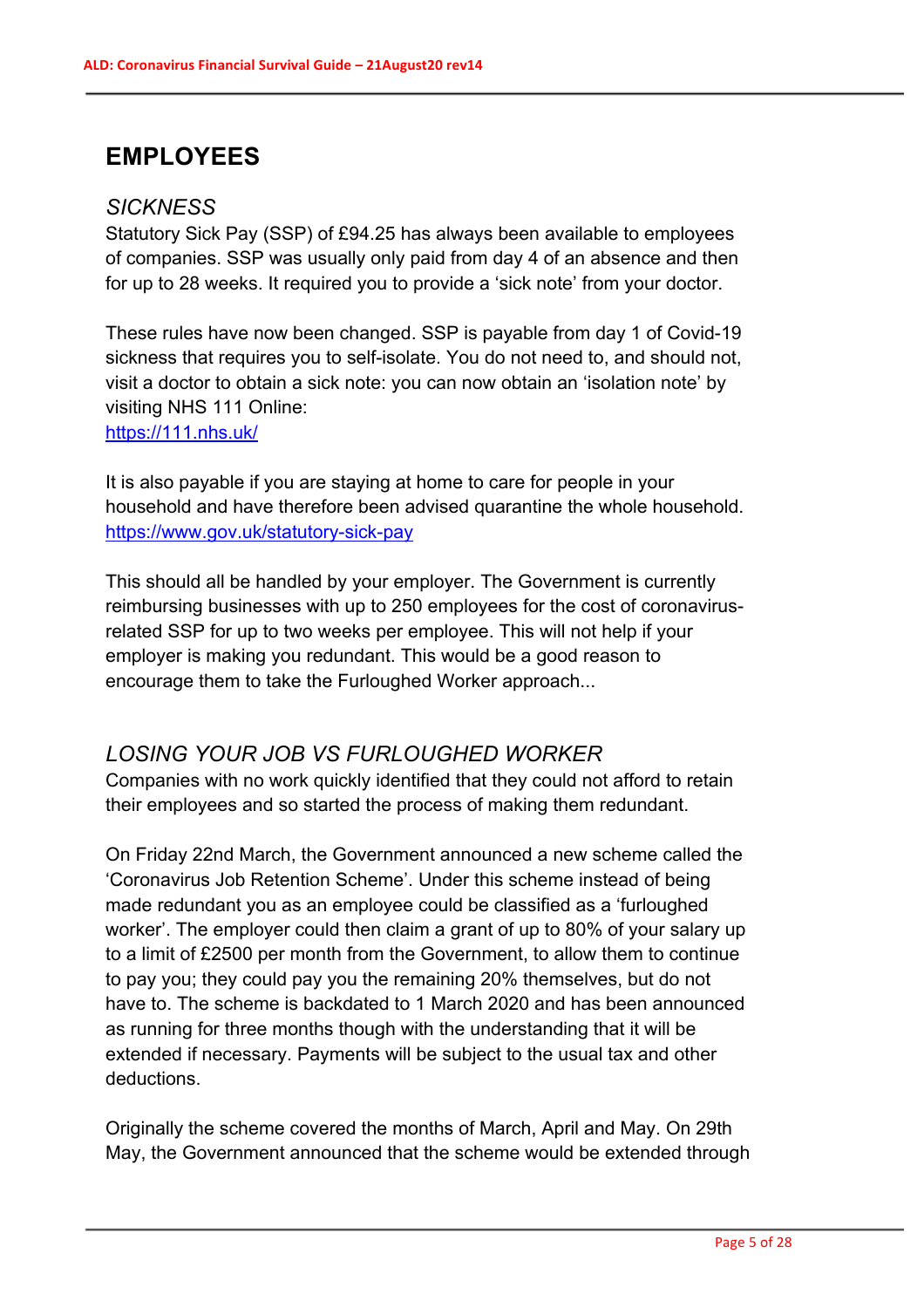# **EMPLOYEES**

#### *SICKNESS*

Statutory Sick Pay (SSP) of £94.25 has always been available to employees of companies. SSP was usually only paid from day 4 of an absence and then for up to 28 weeks. It required you to provide a 'sick note' from your doctor.

These rules have now been changed. SSP is payable from day 1 of Covid-19 sickness that requires you to self-isolate. You do not need to, and should not, visit a doctor to obtain a sick note: you can now obtain an 'isolation note' by visiting NHS 111 Online:

https://111.nhs.uk/

It is also payable if you are staying at home to care for people in your household and have therefore been advised quarantine the whole household. https://www.gov.uk/statutory-sick-pay

This should all be handled by your employer. The Government is currently reimbursing businesses with up to 250 employees for the cost of coronavirusrelated SSP for up to two weeks per employee. This will not help if your employer is making you redundant. This would be a good reason to encourage them to take the Furloughed Worker approach...

# *LOSING YOUR JOB VS FURLOUGHED WORKER*

Companies with no work quickly identified that they could not afford to retain their employees and so started the process of making them redundant.

On Friday 22nd March, the Government announced a new scheme called the 'Coronavirus Job Retention Scheme'. Under this scheme instead of being made redundant you as an employee could be classified as a 'furloughed worker'. The employer could then claim a grant of up to 80% of your salary up to a limit of £2500 per month from the Government, to allow them to continue to pay you; they could pay you the remaining 20% themselves, but do not have to. The scheme is backdated to 1 March 2020 and has been announced as running for three months though with the understanding that it will be extended if necessary. Payments will be subject to the usual tax and other deductions.

Originally the scheme covered the months of March, April and May. On 29th May, the Government announced that the scheme would be extended through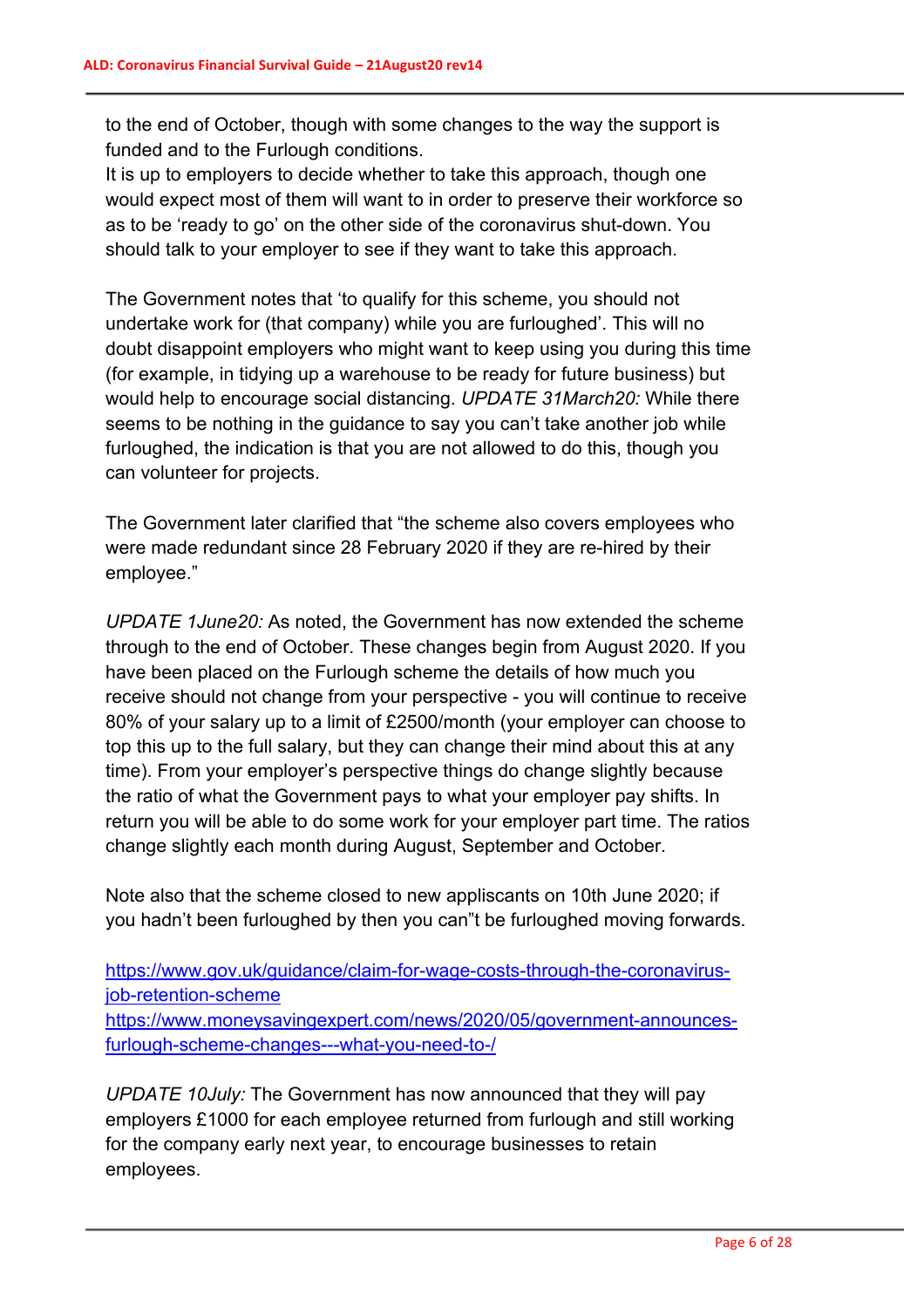to the end of October, though with some changes to the way the support is funded and to the Furlough conditions.

It is up to employers to decide whether to take this approach, though one would expect most of them will want to in order to preserve their workforce so as to be 'ready to go' on the other side of the coronavirus shut-down. You should talk to your employer to see if they want to take this approach.

The Government notes that 'to qualify for this scheme, you should not undertake work for (that company) while you are furloughed'. This will no doubt disappoint employers who might want to keep using you during this time (for example, in tidying up a warehouse to be ready for future business) but would help to encourage social distancing. *UPDATE 31March20:* While there seems to be nothing in the guidance to say you can't take another job while furloughed, the indication is that you are not allowed to do this, though you can volunteer for projects.

The Government later clarified that "the scheme also covers employees who were made redundant since 28 February 2020 if they are re-hired by their employee."

*UPDATE 1June20:* As noted, the Government has now extended the scheme through to the end of October. These changes begin from August 2020. If you have been placed on the Furlough scheme the details of how much you receive should not change from your perspective - you will continue to receive 80% of your salary up to a limit of £2500/month (your employer can choose to top this up to the full salary, but they can change their mind about this at any time). From your employer's perspective things do change slightly because the ratio of what the Government pays to what your employer pay shifts. In return you will be able to do some work for your employer part time. The ratios change slightly each month during August, September and October.

Note also that the scheme closed to new appliscants on 10th June 2020; if you hadn't been furloughed by then you can"t be furloughed moving forwards.

https://www.gov.uk/guidance/claim-for-wage-costs-through-the-coronavirusjob-retention-scheme https://www.moneysavingexpert.com/news/2020/05/government-announcesfurlough-scheme-changes---what-you-need-to-/

*UPDATE 10July:* The Government has now announced that they will pay employers £1000 for each employee returned from furlough and still working for the company early next year, to encourage businesses to retain employees.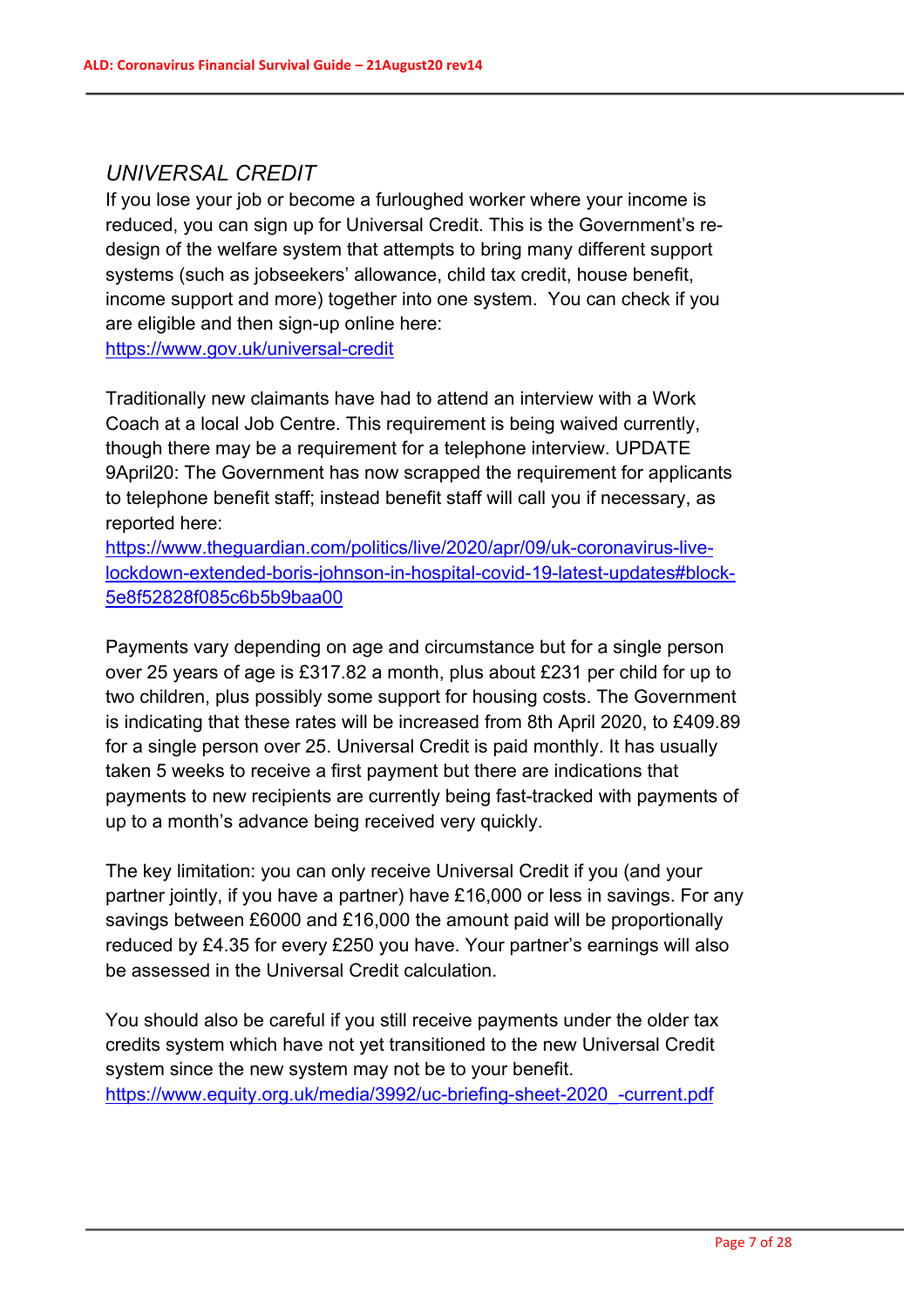# *UNIVERSAL CREDIT*

If you lose your job or become a furloughed worker where your income is reduced, you can sign up for Universal Credit. This is the Government's redesign of the welfare system that attempts to bring many different support systems (such as jobseekers' allowance, child tax credit, house benefit, income support and more) together into one system. You can check if you are eligible and then sign-up online here:

https://www.gov.uk/universal-credit

Traditionally new claimants have had to attend an interview with a Work Coach at a local Job Centre. This requirement is being waived currently, though there may be a requirement for a telephone interview. UPDATE 9April20: The Government has now scrapped the requirement for applicants to telephone benefit staff; instead benefit staff will call you if necessary, as reported here:

https://www.theguardian.com/politics/live/2020/apr/09/uk-coronavirus-livelockdown-extended-boris-johnson-in-hospital-covid-19-latest-updates#block-5e8f52828f085c6b5b9baa00

Payments vary depending on age and circumstance but for a single person over 25 years of age is £317.82 a month, plus about £231 per child for up to two children, plus possibly some support for housing costs. The Government is indicating that these rates will be increased from 8th April 2020, to £409.89 for a single person over 25. Universal Credit is paid monthly. It has usually taken 5 weeks to receive a first payment but there are indications that payments to new recipients are currently being fast-tracked with payments of up to a month's advance being received very quickly.

The key limitation: you can only receive Universal Credit if you (and your partner jointly, if you have a partner) have £16,000 or less in savings. For any savings between £6000 and £16,000 the amount paid will be proportionally reduced by £4.35 for every £250 you have. Your partner's earnings will also be assessed in the Universal Credit calculation.

You should also be careful if you still receive payments under the older tax credits system which have not yet transitioned to the new Universal Credit system since the new system may not be to your benefit. https://www.equity.org.uk/media/3992/uc-briefing-sheet-2020\_-current.pdf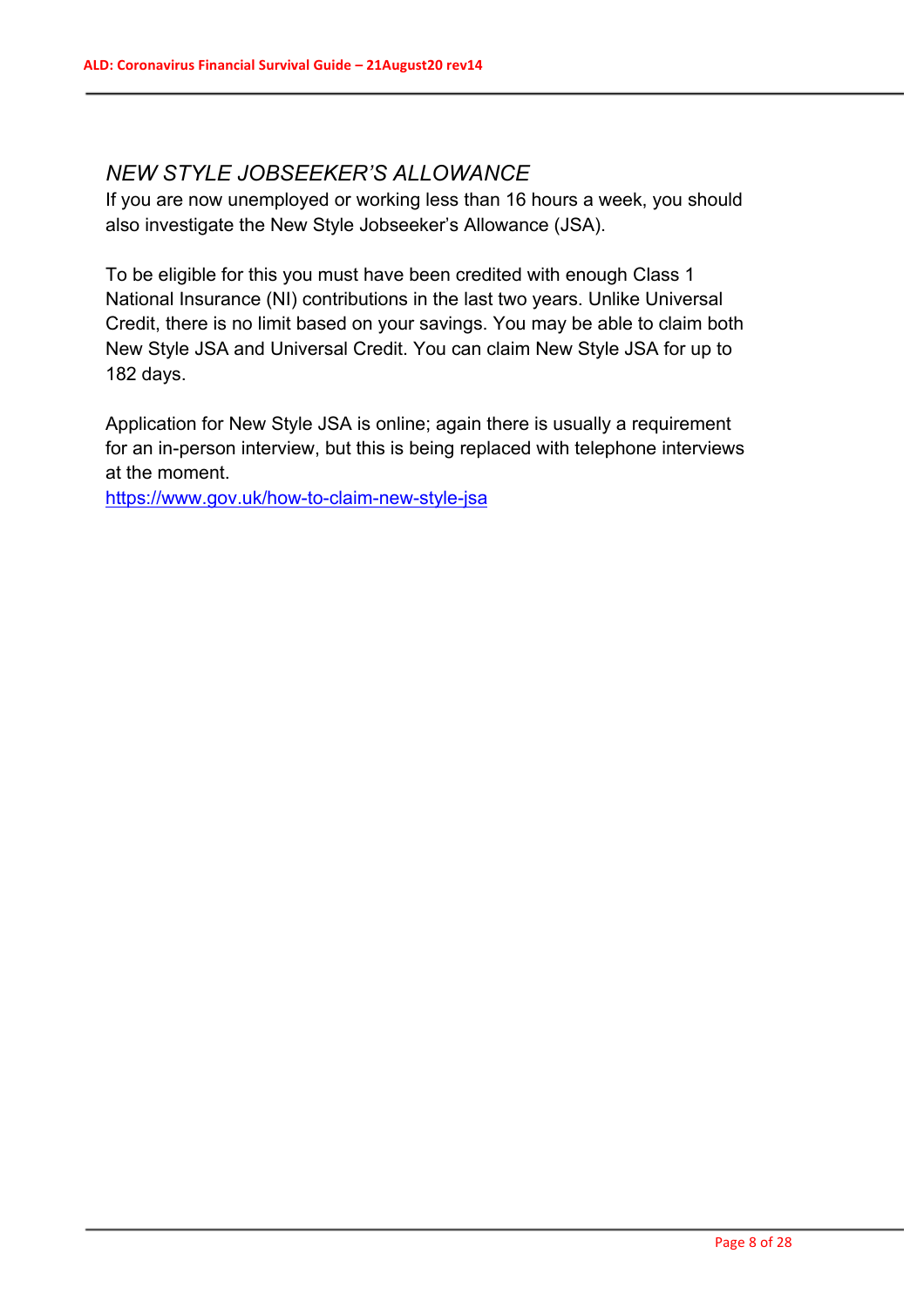## *NEW STYLE JOBSEEKER'S ALLOWANCE*

If you are now unemployed or working less than 16 hours a week, you should also investigate the New Style Jobseeker's Allowance (JSA).

To be eligible for this you must have been credited with enough Class 1 National Insurance (NI) contributions in the last two years. Unlike Universal Credit, there is no limit based on your savings. You may be able to claim both New Style JSA and Universal Credit. You can claim New Style JSA for up to 182 days.

Application for New Style JSA is online; again there is usually a requirement for an in-person interview, but this is being replaced with telephone interviews at the moment.

https://www.gov.uk/how-to-claim-new-style-jsa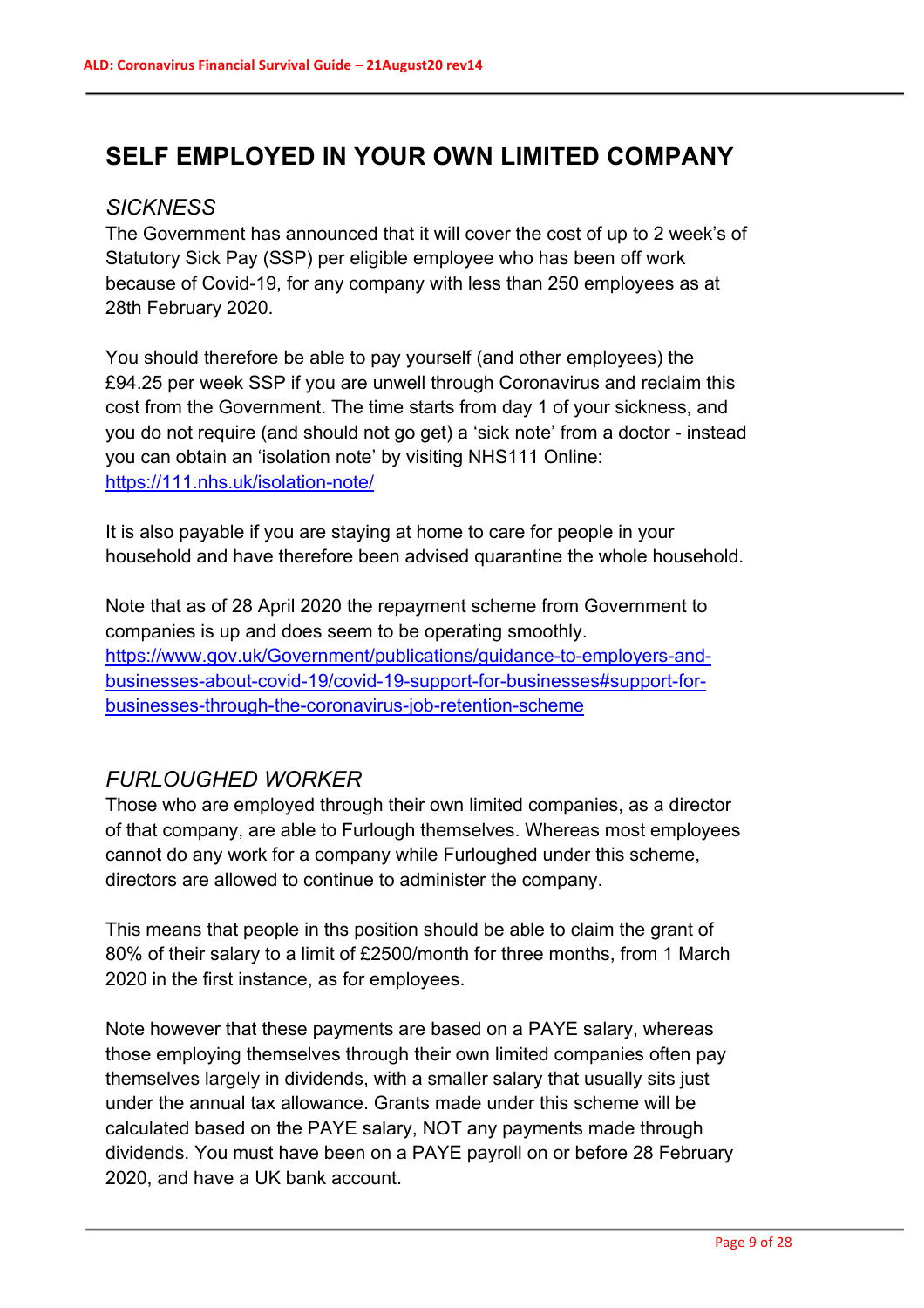# **SELF EMPLOYED IN YOUR OWN LIMITED COMPANY**

### *SICKNESS*

The Government has announced that it will cover the cost of up to 2 week's of Statutory Sick Pay (SSP) per eligible employee who has been off work because of Covid-19, for any company with less than 250 employees as at 28th February 2020.

You should therefore be able to pay yourself (and other employees) the £94.25 per week SSP if you are unwell through Coronavirus and reclaim this cost from the Government. The time starts from day 1 of your sickness, and you do not require (and should not go get) a 'sick note' from a doctor - instead you can obtain an 'isolation note' by visiting NHS111 Online: https://111.nhs.uk/isolation-note/

It is also payable if you are staying at home to care for people in your household and have therefore been advised quarantine the whole household.

Note that as of 28 April 2020 the repayment scheme from Government to companies is up and does seem to be operating smoothly. https://www.gov.uk/Government/publications/guidance-to-employers-andbusinesses-about-covid-19/covid-19-support-for-businesses#support-forbusinesses-through-the-coronavirus-job-retention-scheme

# *FURLOUGHED WORKER*

Those who are employed through their own limited companies, as a director of that company, are able to Furlough themselves. Whereas most employees cannot do any work for a company while Furloughed under this scheme, directors are allowed to continue to administer the company.

This means that people in ths position should be able to claim the grant of 80% of their salary to a limit of £2500/month for three months, from 1 March 2020 in the first instance, as for employees.

Note however that these payments are based on a PAYE salary, whereas those employing themselves through their own limited companies often pay themselves largely in dividends, with a smaller salary that usually sits just under the annual tax allowance. Grants made under this scheme will be calculated based on the PAYE salary, NOT any payments made through dividends. You must have been on a PAYE payroll on or before 28 February 2020, and have a UK bank account.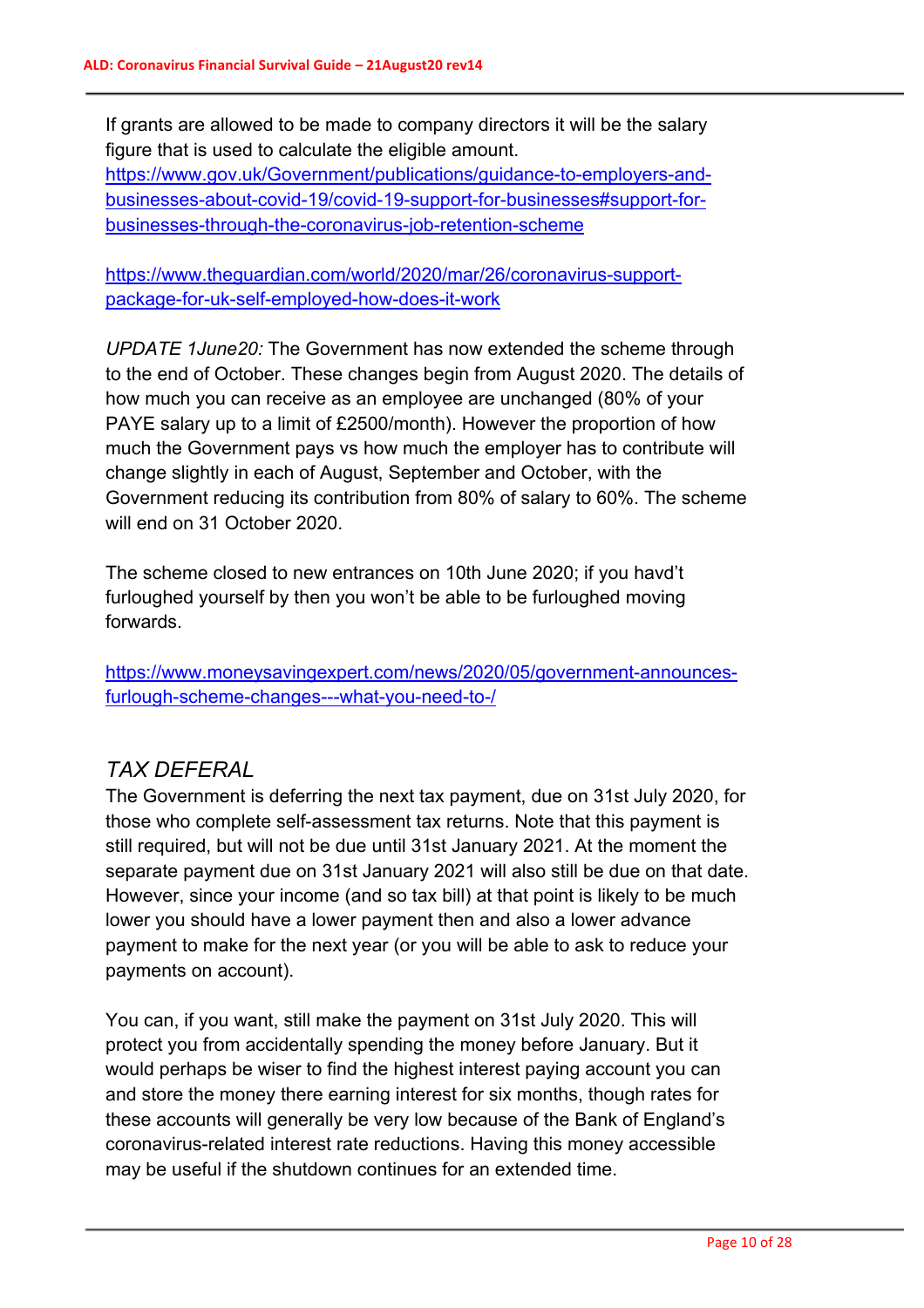If grants are allowed to be made to company directors it will be the salary figure that is used to calculate the eligible amount.

https://www.gov.uk/Government/publications/guidance-to-employers-andbusinesses-about-covid-19/covid-19-support-for-businesses#support-forbusinesses-through-the-coronavirus-job-retention-scheme

https://www.theguardian.com/world/2020/mar/26/coronavirus-supportpackage-for-uk-self-employed-how-does-it-work

*UPDATE 1June20:* The Government has now extended the scheme through to the end of October. These changes begin from August 2020. The details of how much you can receive as an employee are unchanged (80% of your PAYE salary up to a limit of £2500/month). However the proportion of how much the Government pays vs how much the employer has to contribute will change slightly in each of August, September and October, with the Government reducing its contribution from 80% of salary to 60%. The scheme will end on 31 October 2020.

The scheme closed to new entrances on 10th June 2020; if you havd't furloughed yourself by then you won't be able to be furloughed moving forwards.

https://www.moneysavingexpert.com/news/2020/05/government-announcesfurlough-scheme-changes---what-you-need-to-/

## *TAX DEFERAL*

The Government is deferring the next tax payment, due on 31st July 2020, for those who complete self-assessment tax returns. Note that this payment is still required, but will not be due until 31st January 2021. At the moment the separate payment due on 31st January 2021 will also still be due on that date. However, since your income (and so tax bill) at that point is likely to be much lower you should have a lower payment then and also a lower advance payment to make for the next year (or you will be able to ask to reduce your payments on account).

You can, if you want, still make the payment on 31st July 2020. This will protect you from accidentally spending the money before January. But it would perhaps be wiser to find the highest interest paying account you can and store the money there earning interest for six months, though rates for these accounts will generally be very low because of the Bank of England's coronavirus-related interest rate reductions. Having this money accessible may be useful if the shutdown continues for an extended time.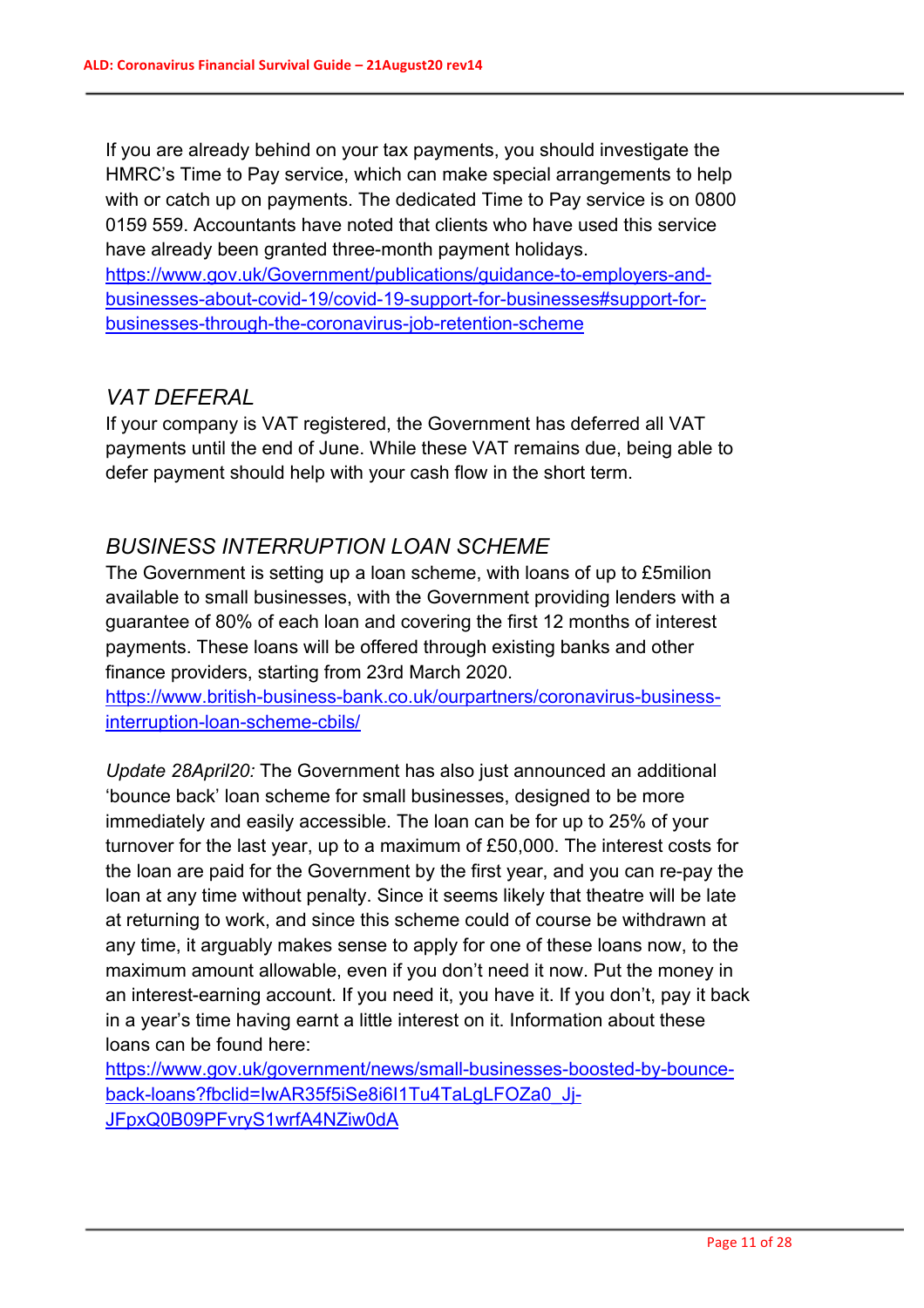If you are already behind on your tax payments, you should investigate the HMRC's Time to Pay service, which can make special arrangements to help with or catch up on payments. The dedicated Time to Pay service is on 0800 0159 559. Accountants have noted that clients who have used this service have already been granted three-month payment holidays. https://www.gov.uk/Government/publications/guidance-to-employers-andbusinesses-about-covid-19/covid-19-support-for-businesses#support-forbusinesses-through-the-coronavirus-job-retention-scheme

#### *VAT DEFERAL*

If your company is VAT registered, the Government has deferred all VAT payments until the end of June. While these VAT remains due, being able to defer payment should help with your cash flow in the short term.

## *BUSINESS INTERRUPTION LOAN SCHEME*

The Government is setting up a loan scheme, with loans of up to £5milion available to small businesses, with the Government providing lenders with a guarantee of 80% of each loan and covering the first 12 months of interest payments. These loans will be offered through existing banks and other finance providers, starting from 23rd March 2020.

https://www.british-business-bank.co.uk/ourpartners/coronavirus-businessinterruption-loan-scheme-cbils/

*Update 28April20:* The Government has also just announced an additional 'bounce back' loan scheme for small businesses, designed to be more immediately and easily accessible. The loan can be for up to 25% of your turnover for the last year, up to a maximum of £50,000. The interest costs for the loan are paid for the Government by the first year, and you can re-pay the loan at any time without penalty. Since it seems likely that theatre will be late at returning to work, and since this scheme could of course be withdrawn at any time, it arguably makes sense to apply for one of these loans now, to the maximum amount allowable, even if you don't need it now. Put the money in an interest-earning account. If you need it, you have it. If you don't, pay it back in a year's time having earnt a little interest on it. Information about these loans can be found here:

https://www.gov.uk/government/news/small-businesses-boosted-by-bounceback-loans?fbclid=IwAR35f5iSe8i6I1Tu4TaLgLFOZa0\_Jj-JFpxQ0B09PFvryS1wrfA4NZiw0dA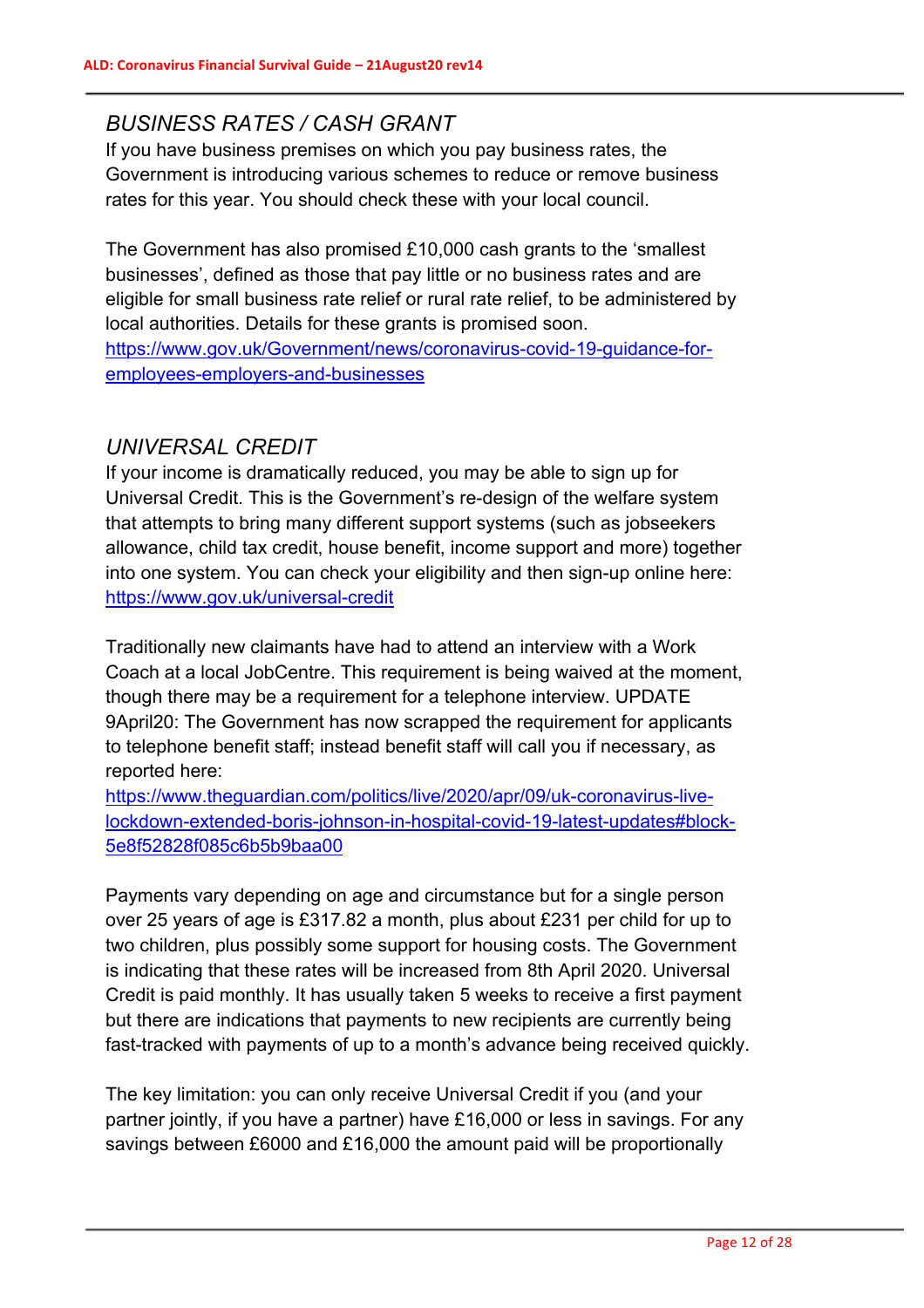## *BUSINESS RATES / CASH GRANT*

If you have business premises on which you pay business rates, the Government is introducing various schemes to reduce or remove business rates for this year. You should check these with your local council.

The Government has also promised £10,000 cash grants to the 'smallest businesses', defined as those that pay little or no business rates and are eligible for small business rate relief or rural rate relief, to be administered by local authorities. Details for these grants is promised soon. https://www.gov.uk/Government/news/coronavirus-covid-19-guidance-foremployees-employers-and-businesses

# *UNIVERSAL CREDIT*

If your income is dramatically reduced, you may be able to sign up for Universal Credit. This is the Government's re-design of the welfare system that attempts to bring many different support systems (such as jobseekers allowance, child tax credit, house benefit, income support and more) together into one system. You can check your eligibility and then sign-up online here: https://www.gov.uk/universal-credit

Traditionally new claimants have had to attend an interview with a Work Coach at a local JobCentre. This requirement is being waived at the moment, though there may be a requirement for a telephone interview. UPDATE 9April20: The Government has now scrapped the requirement for applicants to telephone benefit staff; instead benefit staff will call you if necessary, as reported here:

https://www.theguardian.com/politics/live/2020/apr/09/uk-coronavirus-livelockdown-extended-boris-johnson-in-hospital-covid-19-latest-updates#block-5e8f52828f085c6b5b9baa00

Payments vary depending on age and circumstance but for a single person over 25 years of age is £317.82 a month, plus about £231 per child for up to two children, plus possibly some support for housing costs. The Government is indicating that these rates will be increased from 8th April 2020. Universal Credit is paid monthly. It has usually taken 5 weeks to receive a first payment but there are indications that payments to new recipients are currently being fast-tracked with payments of up to a month's advance being received quickly.

The key limitation: you can only receive Universal Credit if you (and your partner jointly, if you have a partner) have £16,000 or less in savings. For any savings between £6000 and £16,000 the amount paid will be proportionally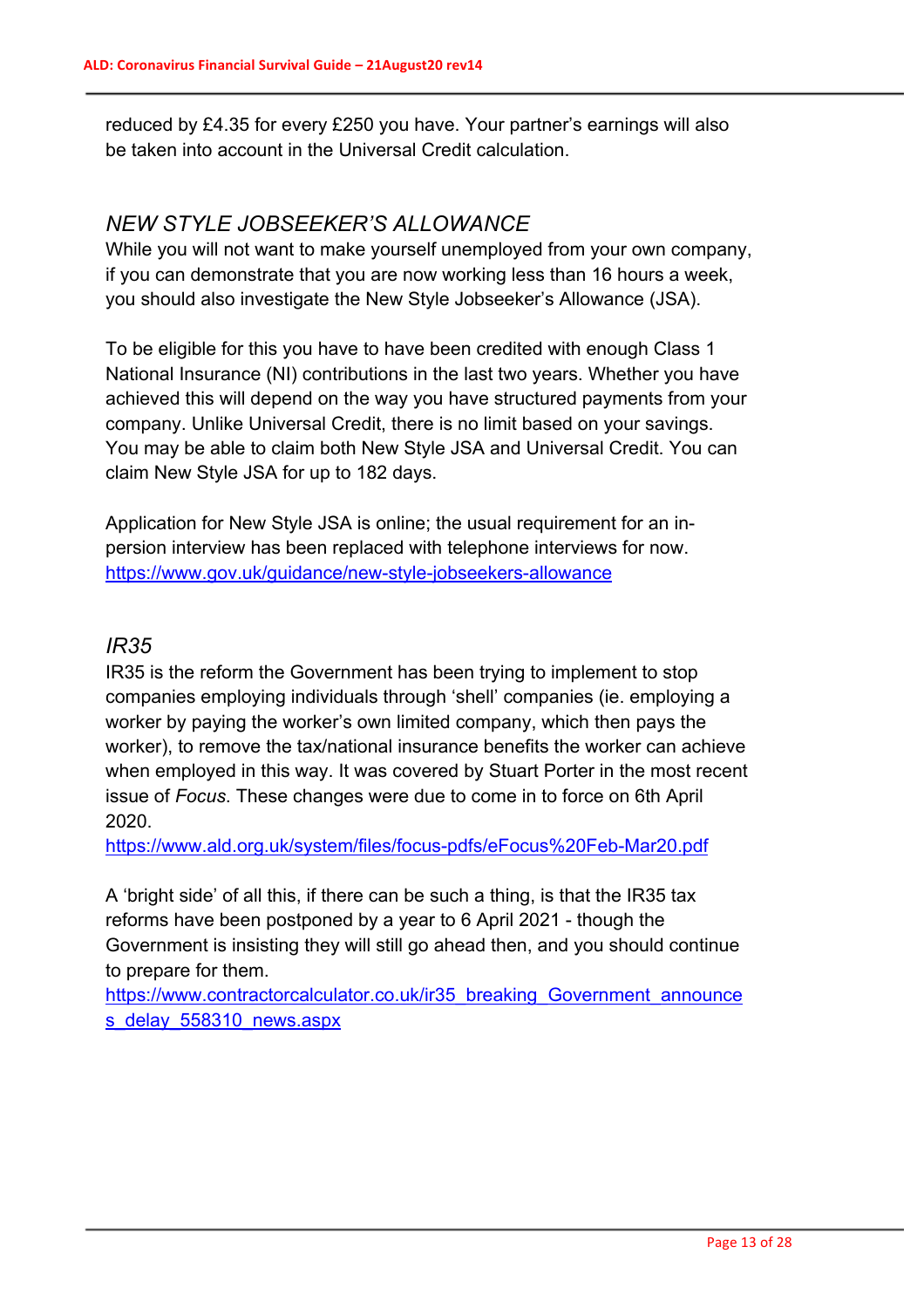reduced by £4.35 for every £250 you have. Your partner's earnings will also be taken into account in the Universal Credit calculation.

### *NEW STYLE JOBSEEKER'S ALLOWANCE*

While you will not want to make yourself unemployed from your own company, if you can demonstrate that you are now working less than 16 hours a week, you should also investigate the New Style Jobseeker's Allowance (JSA).

To be eligible for this you have to have been credited with enough Class 1 National Insurance (NI) contributions in the last two years. Whether you have achieved this will depend on the way you have structured payments from your company. Unlike Universal Credit, there is no limit based on your savings. You may be able to claim both New Style JSA and Universal Credit. You can claim New Style JSA for up to 182 days.

Application for New Style JSA is online; the usual requirement for an inpersion interview has been replaced with telephone interviews for now. https://www.gov.uk/guidance/new-style-jobseekers-allowance

## *IR35*

IR35 is the reform the Government has been trying to implement to stop companies employing individuals through 'shell' companies (ie. employing a worker by paying the worker's own limited company, which then pays the worker), to remove the tax/national insurance benefits the worker can achieve when employed in this way. It was covered by Stuart Porter in the most recent issue of *Focus*. These changes were due to come in to force on 6th April 2020.

https://www.ald.org.uk/system/files/focus-pdfs/eFocus%20Feb-Mar20.pdf

A 'bright side' of all this, if there can be such a thing, is that the IR35 tax reforms have been postponed by a year to 6 April 2021 - though the Government is insisting they will still go ahead then, and you should continue to prepare for them.

https://www.contractorcalculator.co.uk/ir35\_breaking\_Government\_announce s\_delay\_558310\_news.aspx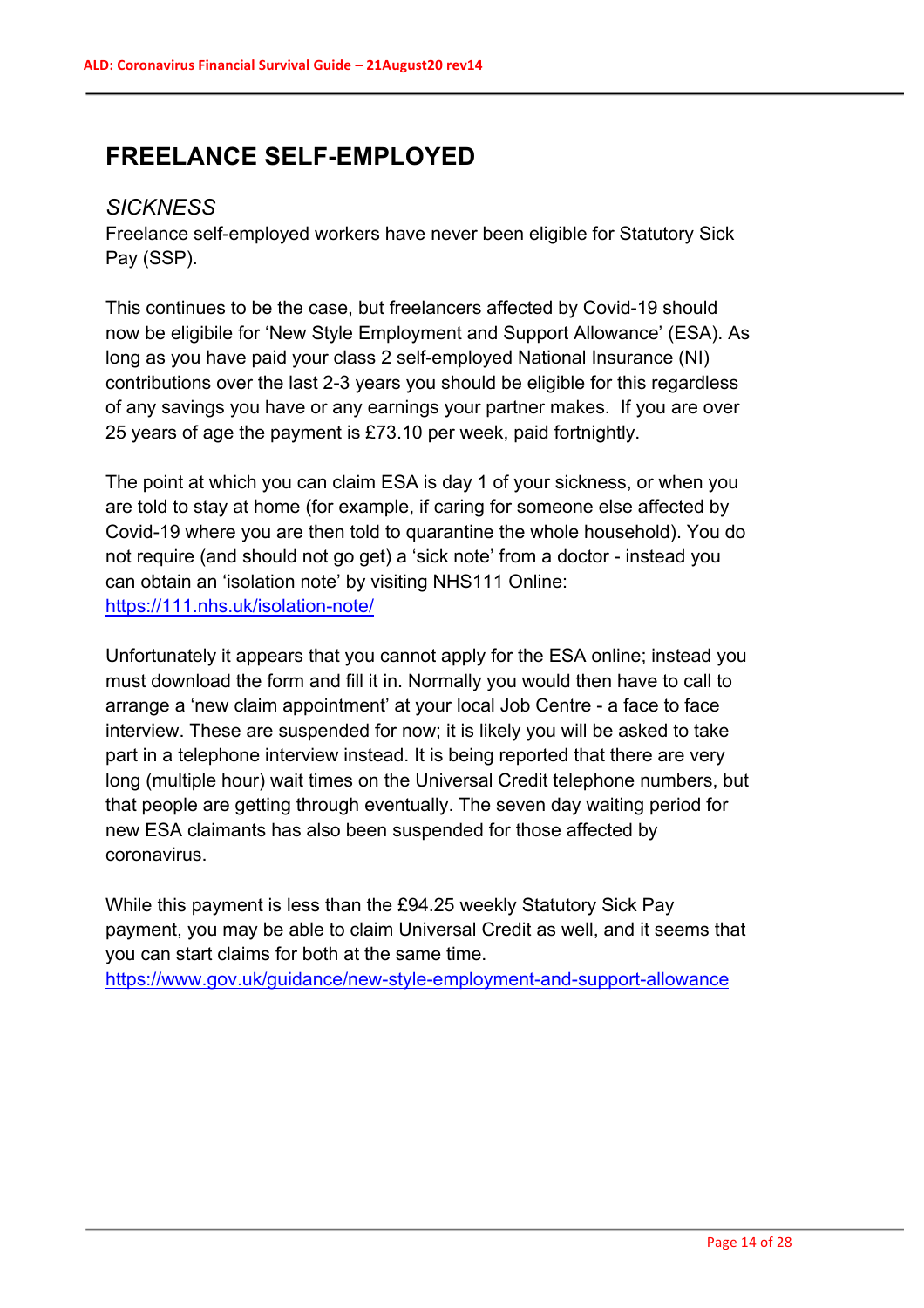# **FREELANCE SELF-EMPLOYED**

## *SICKNESS*

Freelance self-employed workers have never been eligible for Statutory Sick Pay (SSP).

This continues to be the case, but freelancers affected by Covid-19 should now be eligibile for 'New Style Employment and Support Allowance' (ESA). As long as you have paid your class 2 self-employed National Insurance (NI) contributions over the last 2-3 years you should be eligible for this regardless of any savings you have or any earnings your partner makes. If you are over 25 years of age the payment is £73.10 per week, paid fortnightly.

The point at which you can claim ESA is day 1 of your sickness, or when you are told to stay at home (for example, if caring for someone else affected by Covid-19 where you are then told to quarantine the whole household). You do not require (and should not go get) a 'sick note' from a doctor - instead you can obtain an 'isolation note' by visiting NHS111 Online: https://111.nhs.uk/isolation-note/

Unfortunately it appears that you cannot apply for the ESA online; instead you must download the form and fill it in. Normally you would then have to call to arrange a 'new claim appointment' at your local Job Centre - a face to face interview. These are suspended for now; it is likely you will be asked to take part in a telephone interview instead. It is being reported that there are very long (multiple hour) wait times on the Universal Credit telephone numbers, but that people are getting through eventually. The seven day waiting period for new ESA claimants has also been suspended for those affected by coronavirus.

While this payment is less than the £94.25 weekly Statutory Sick Pay payment, you may be able to claim Universal Credit as well, and it seems that you can start claims for both at the same time. https://www.gov.uk/guidance/new-style-employment-and-support-allowance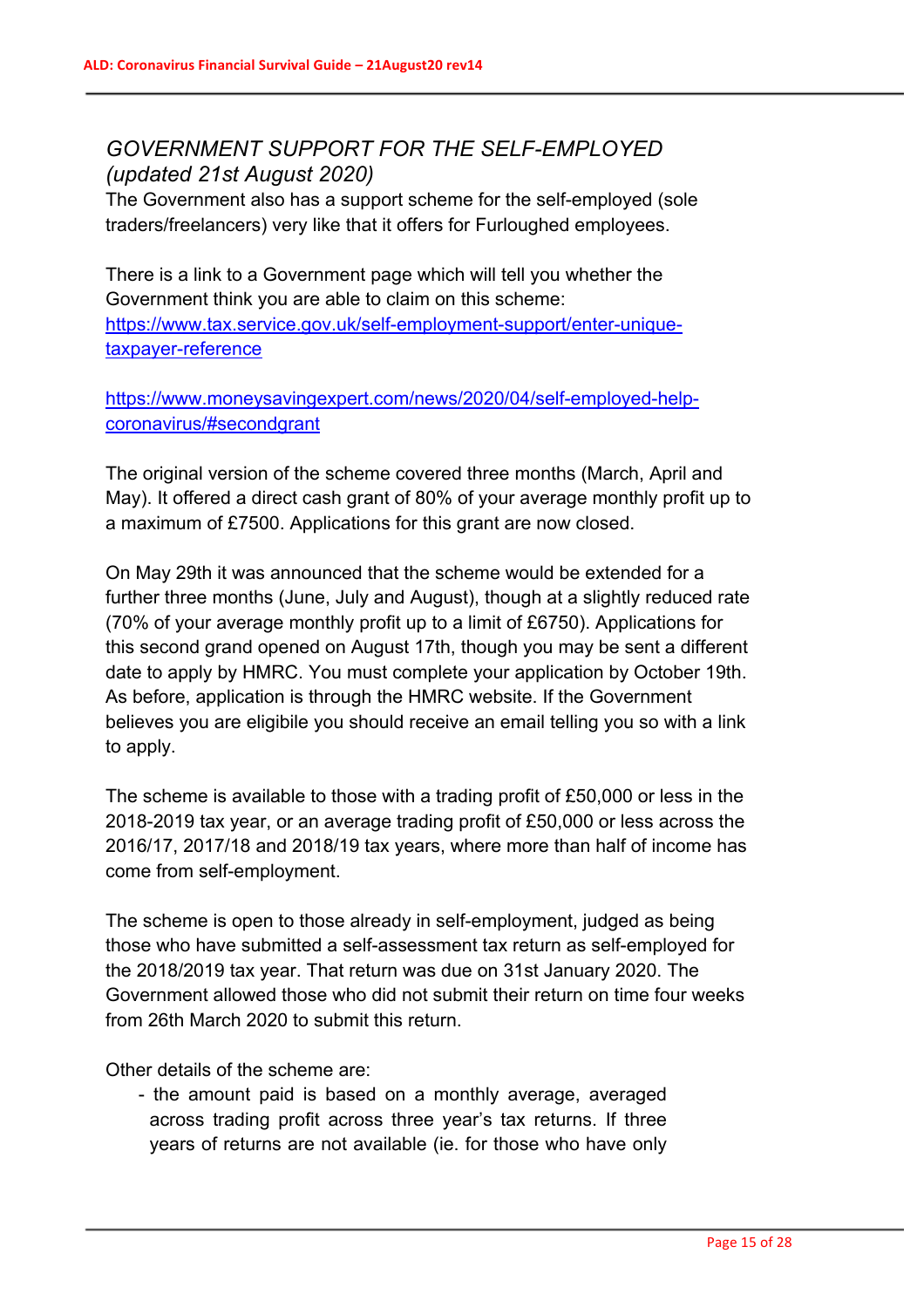# *GOVERNMENT SUPPORT FOR THE SELF-EMPLOYED (updated 21st August 2020)*

The Government also has a support scheme for the self-employed (sole traders/freelancers) very like that it offers for Furloughed employees.

There is a link to a Government page which will tell you whether the Government think you are able to claim on this scheme: https://www.tax.service.gov.uk/self-employment-support/enter-uniquetaxpayer-reference

https://www.moneysavingexpert.com/news/2020/04/self-employed-helpcoronavirus/#secondgrant

The original version of the scheme covered three months (March, April and May). It offered a direct cash grant of 80% of your average monthly profit up to a maximum of £7500. Applications for this grant are now closed.

On May 29th it was announced that the scheme would be extended for a further three months (June, July and August), though at a slightly reduced rate (70% of your average monthly profit up to a limit of £6750). Applications for this second grand opened on August 17th, though you may be sent a different date to apply by HMRC. You must complete your application by October 19th. As before, application is through the HMRC website. If the Government believes you are eligibile you should receive an email telling you so with a link to apply.

The scheme is available to those with a trading profit of £50,000 or less in the 2018-2019 tax year, or an average trading profit of £50,000 or less across the 2016/17, 2017/18 and 2018/19 tax years, where more than half of income has come from self-employment.

The scheme is open to those already in self-employment, judged as being those who have submitted a self-assessment tax return as self-employed for the 2018/2019 tax year. That return was due on 31st January 2020. The Government allowed those who did not submit their return on time four weeks from 26th March 2020 to submit this return.

Other details of the scheme are:

- the amount paid is based on a monthly average, averaged across trading profit across three year's tax returns. If three years of returns are not available (ie. for those who have only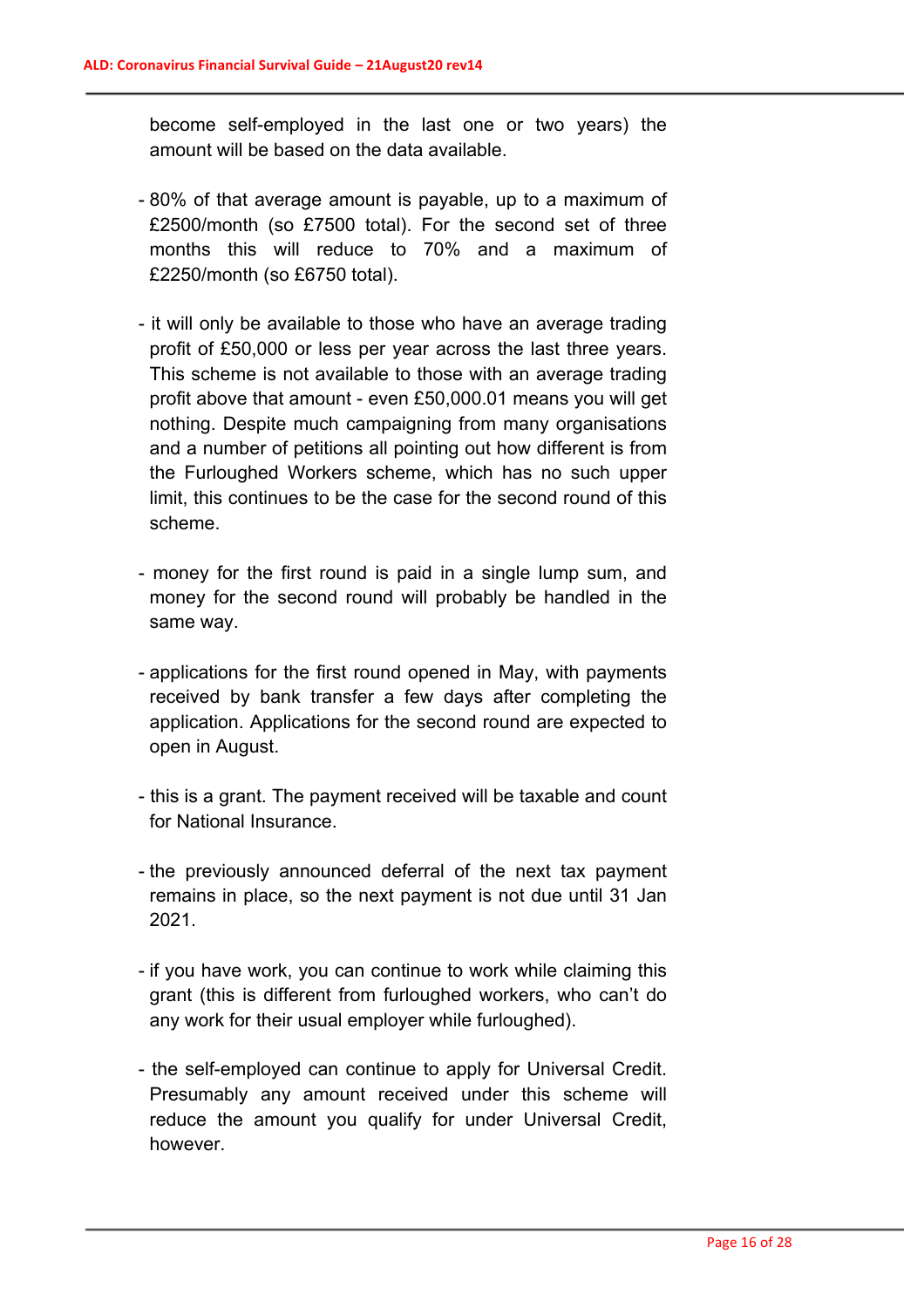become self-employed in the last one or two years) the amount will be based on the data available.

- 80% of that average amount is payable, up to a maximum of £2500/month (so £7500 total). For the second set of three months this will reduce to 70% and a maximum of £2250/month (so £6750 total).
- it will only be available to those who have an average trading profit of £50,000 or less per year across the last three years. This scheme is not available to those with an average trading profit above that amount - even £50,000.01 means you will get nothing. Despite much campaigning from many organisations and a number of petitions all pointing out how different is from the Furloughed Workers scheme, which has no such upper limit, this continues to be the case for the second round of this scheme.
- money for the first round is paid in a single lump sum, and money for the second round will probably be handled in the same way.
- applications for the first round opened in May, with payments received by bank transfer a few days after completing the application. Applications for the second round are expected to open in August.
- this is a grant. The payment received will be taxable and count for National Insurance.
- the previously announced deferral of the next tax payment remains in place, so the next payment is not due until 31 Jan 2021.
- if you have work, you can continue to work while claiming this grant (this is different from furloughed workers, who can't do any work for their usual employer while furloughed).
- the self-employed can continue to apply for Universal Credit. Presumably any amount received under this scheme will reduce the amount you qualify for under Universal Credit, however.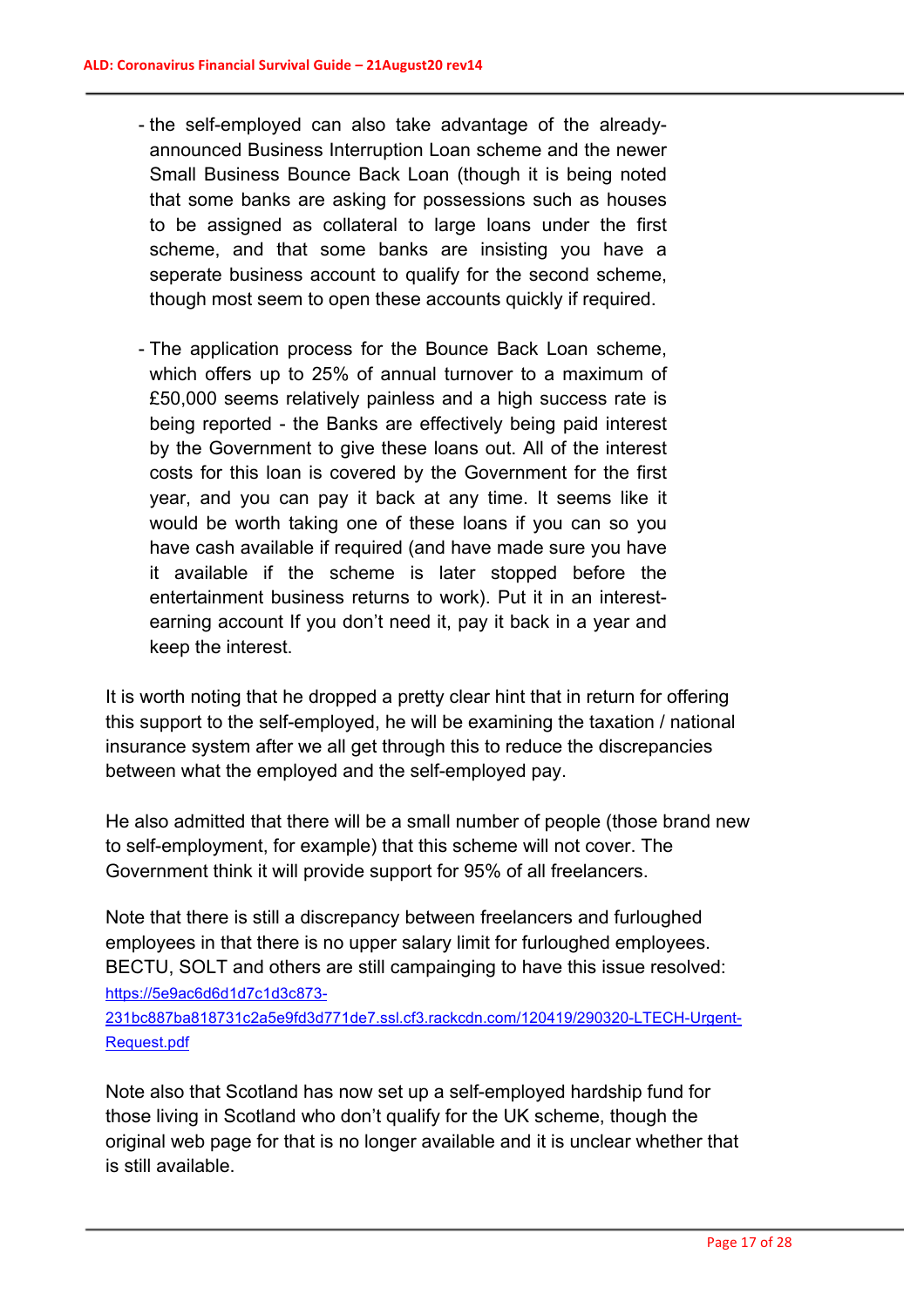- the self-employed can also take advantage of the alreadyannounced Business Interruption Loan scheme and the newer Small Business Bounce Back Loan (though it is being noted that some banks are asking for possessions such as houses to be assigned as collateral to large loans under the first scheme, and that some banks are insisting you have a seperate business account to qualify for the second scheme, though most seem to open these accounts quickly if required.
- The application process for the Bounce Back Loan scheme, which offers up to 25% of annual turnover to a maximum of £50,000 seems relatively painless and a high success rate is being reported - the Banks are effectively being paid interest by the Government to give these loans out. All of the interest costs for this loan is covered by the Government for the first year, and you can pay it back at any time. It seems like it would be worth taking one of these loans if you can so you have cash available if required (and have made sure you have it available if the scheme is later stopped before the entertainment business returns to work). Put it in an interestearning account If you don't need it, pay it back in a year and keep the interest.

It is worth noting that he dropped a pretty clear hint that in return for offering this support to the self-employed, he will be examining the taxation / national insurance system after we all get through this to reduce the discrepancies between what the employed and the self-employed pay.

He also admitted that there will be a small number of people (those brand new to self-employment, for example) that this scheme will not cover. The Government think it will provide support for 95% of all freelancers.

Note that there is still a discrepancy between freelancers and furloughed employees in that there is no upper salary limit for furloughed employees. BECTU, SOLT and others are still campainging to have this issue resolved: https://5e9ac6d6d1d7c1d3c873-

231bc887ba818731c2a5e9fd3d771de7.ssl.cf3.rackcdn.com/120419/290320-LTECH-Urgent-Request.pdf

Note also that Scotland has now set up a self-employed hardship fund for those living in Scotland who don't qualify for the UK scheme, though the original web page for that is no longer available and it is unclear whether that is still available.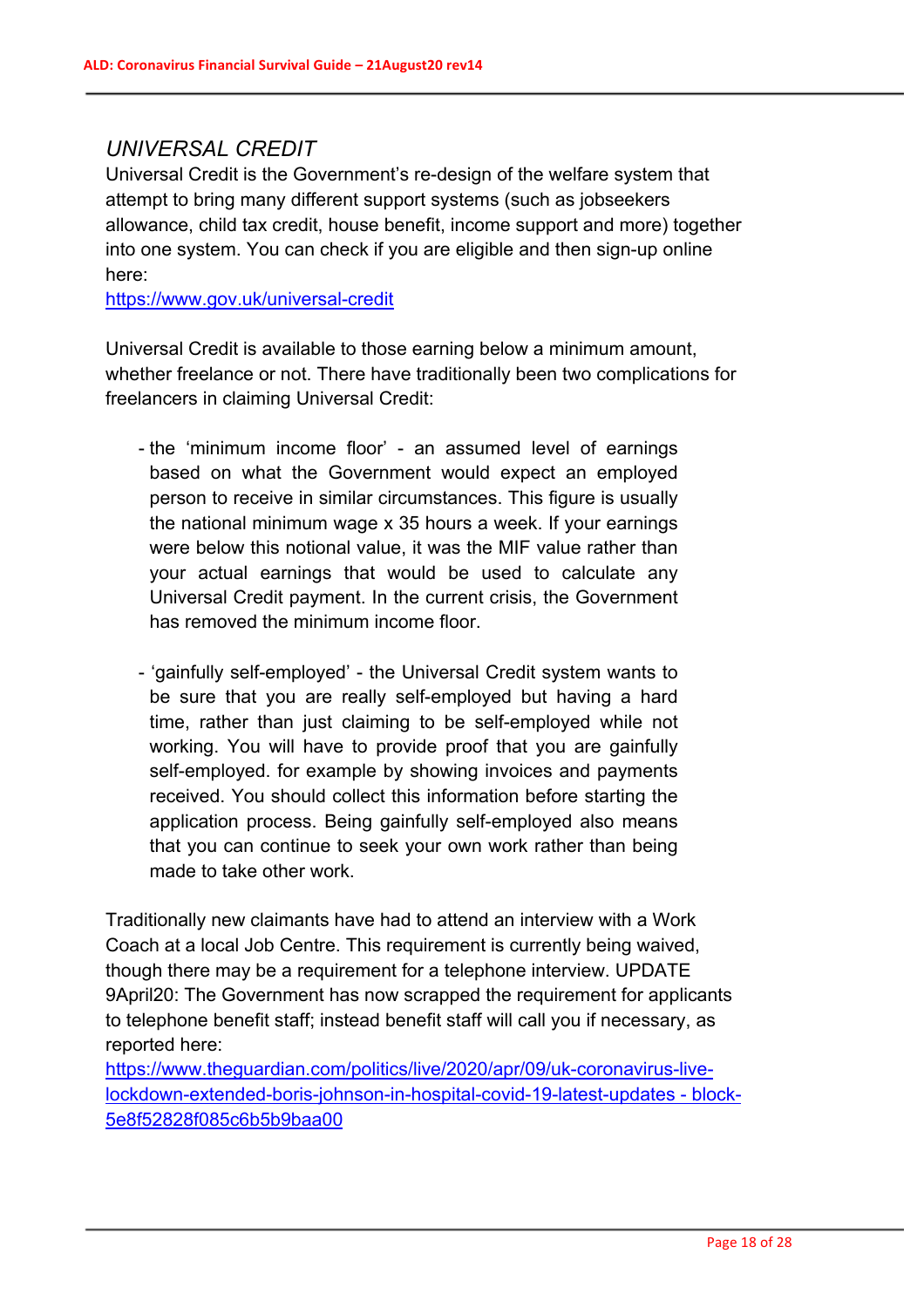## *UNIVERSAL CREDIT*

Universal Credit is the Government's re-design of the welfare system that attempt to bring many different support systems (such as jobseekers allowance, child tax credit, house benefit, income support and more) together into one system. You can check if you are eligible and then sign-up online here:

https://www.gov.uk/universal-credit

Universal Credit is available to those earning below a minimum amount, whether freelance or not. There have traditionally been two complications for freelancers in claiming Universal Credit:

- the 'minimum income floor' an assumed level of earnings based on what the Government would expect an employed person to receive in similar circumstances. This figure is usually the national minimum wage x 35 hours a week. If your earnings were below this notional value, it was the MIF value rather than your actual earnings that would be used to calculate any Universal Credit payment. In the current crisis, the Government has removed the minimum income floor.
- 'gainfully self-employed' the Universal Credit system wants to be sure that you are really self-employed but having a hard time, rather than just claiming to be self-employed while not working. You will have to provide proof that you are gainfully self-employed. for example by showing invoices and payments received. You should collect this information before starting the application process. Being gainfully self-employed also means that you can continue to seek your own work rather than being made to take other work.

Traditionally new claimants have had to attend an interview with a Work Coach at a local Job Centre. This requirement is currently being waived. though there may be a requirement for a telephone interview. UPDATE 9April20: The Government has now scrapped the requirement for applicants to telephone benefit staff; instead benefit staff will call you if necessary, as reported here:

https://www.theguardian.com/politics/live/2020/apr/09/uk-coronavirus-livelockdown-extended-boris-johnson-in-hospital-covid-19-latest-updates - block-5e8f52828f085c6b5b9baa00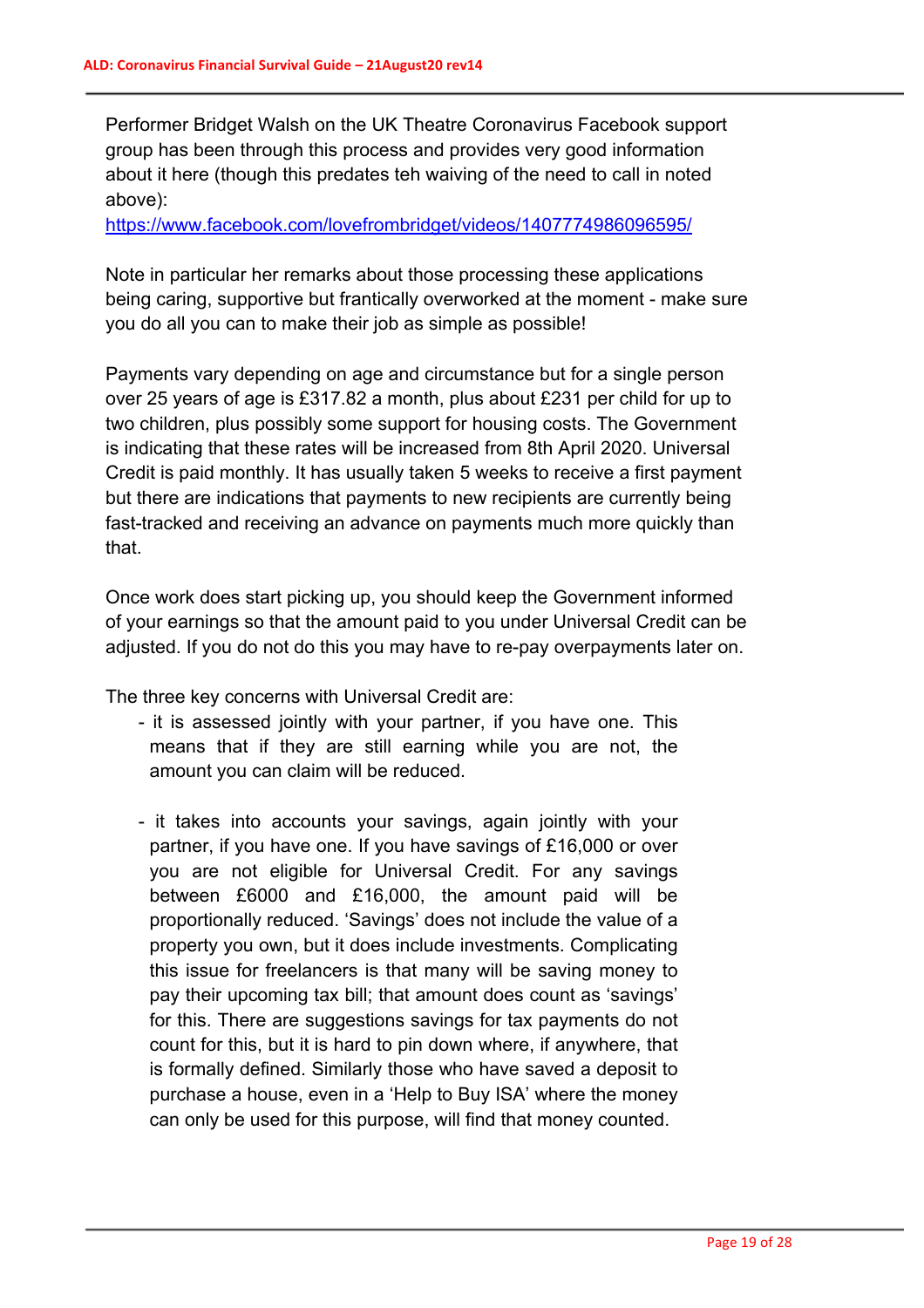Performer Bridget Walsh on the UK Theatre Coronavirus Facebook support group has been through this process and provides very good information about it here (though this predates teh waiving of the need to call in noted above):

https://www.facebook.com/lovefrombridget/videos/1407774986096595/

Note in particular her remarks about those processing these applications being caring, supportive but frantically overworked at the moment - make sure you do all you can to make their job as simple as possible!

Payments vary depending on age and circumstance but for a single person over 25 years of age is £317.82 a month, plus about £231 per child for up to two children, plus possibly some support for housing costs. The Government is indicating that these rates will be increased from 8th April 2020. Universal Credit is paid monthly. It has usually taken 5 weeks to receive a first payment but there are indications that payments to new recipients are currently being fast-tracked and receiving an advance on payments much more quickly than that.

Once work does start picking up, you should keep the Government informed of your earnings so that the amount paid to you under Universal Credit can be adjusted. If you do not do this you may have to re-pay overpayments later on.

The three key concerns with Universal Credit are:

- it is assessed jointly with your partner, if you have one. This means that if they are still earning while you are not, the amount you can claim will be reduced.
- it takes into accounts your savings, again jointly with your partner, if you have one. If you have savings of £16,000 or over you are not eligible for Universal Credit. For any savings between £6000 and £16,000, the amount paid will be proportionally reduced. 'Savings' does not include the value of a property you own, but it does include investments. Complicating this issue for freelancers is that many will be saving money to pay their upcoming tax bill; that amount does count as 'savings' for this. There are suggestions savings for tax payments do not count for this, but it is hard to pin down where, if anywhere, that is formally defined. Similarly those who have saved a deposit to purchase a house, even in a 'Help to Buy ISA' where the money can only be used for this purpose, will find that money counted.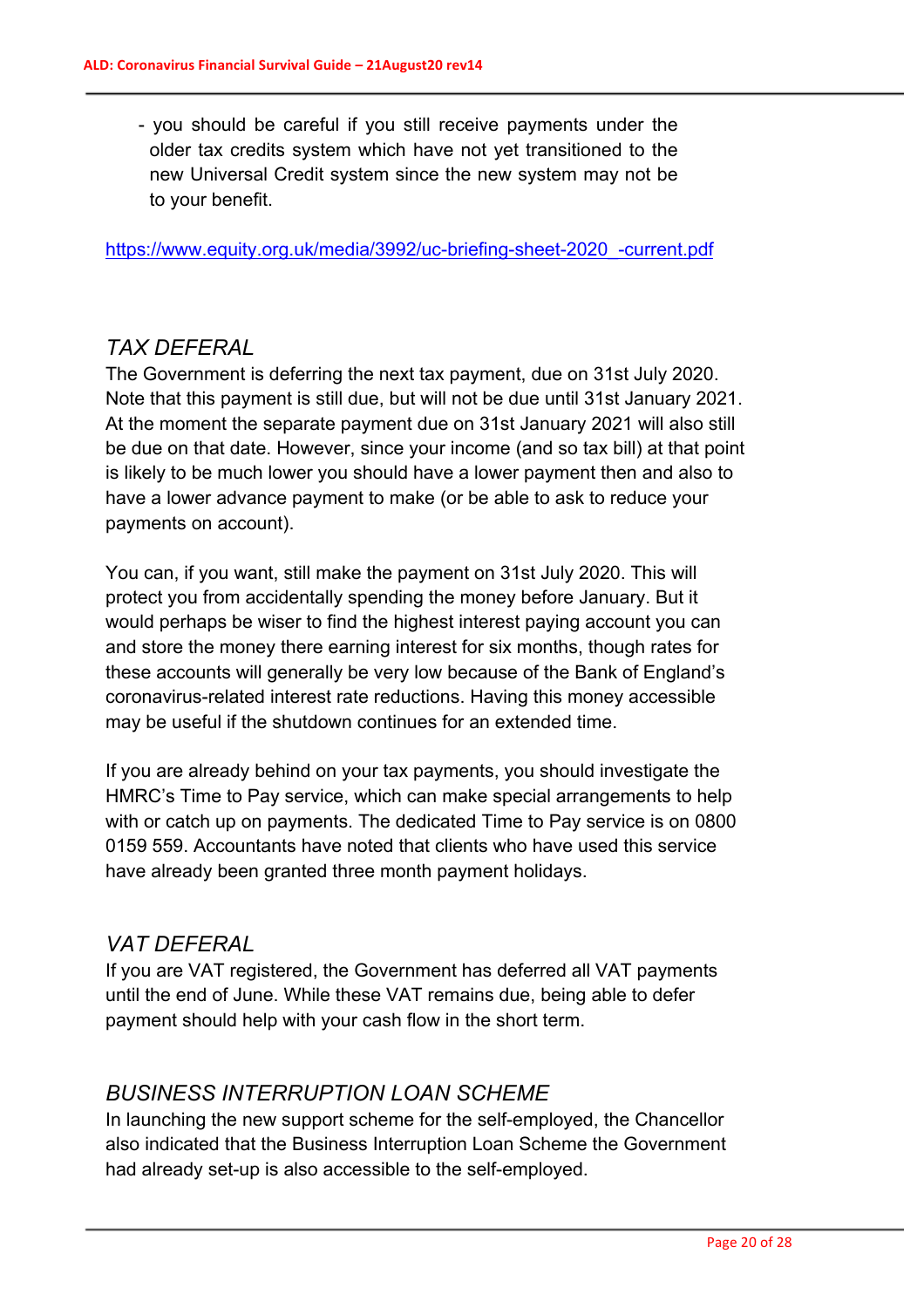- you should be careful if you still receive payments under the older tax credits system which have not yet transitioned to the new Universal Credit system since the new system may not be to your benefit.

https://www.equity.org.uk/media/3992/uc-briefing-sheet-2020\_-current.pdf

#### *TAX DEFERAL*

The Government is deferring the next tax payment, due on 31st July 2020. Note that this payment is still due, but will not be due until 31st January 2021. At the moment the separate payment due on 31st January 2021 will also still be due on that date. However, since your income (and so tax bill) at that point is likely to be much lower you should have a lower payment then and also to have a lower advance payment to make (or be able to ask to reduce your payments on account).

You can, if you want, still make the payment on 31st July 2020. This will protect you from accidentally spending the money before January. But it would perhaps be wiser to find the highest interest paying account you can and store the money there earning interest for six months, though rates for these accounts will generally be very low because of the Bank of England's coronavirus-related interest rate reductions. Having this money accessible may be useful if the shutdown continues for an extended time.

If you are already behind on your tax payments, you should investigate the HMRC's Time to Pay service, which can make special arrangements to help with or catch up on payments. The dedicated Time to Pay service is on 0800 0159 559. Accountants have noted that clients who have used this service have already been granted three month payment holidays.

#### *VAT DEFERAL*

If you are VAT registered, the Government has deferred all VAT payments until the end of June. While these VAT remains due, being able to defer payment should help with your cash flow in the short term.

## *BUSINESS INTERRUPTION LOAN SCHEME*

In launching the new support scheme for the self-employed, the Chancellor also indicated that the Business Interruption Loan Scheme the Government had already set-up is also accessible to the self-employed.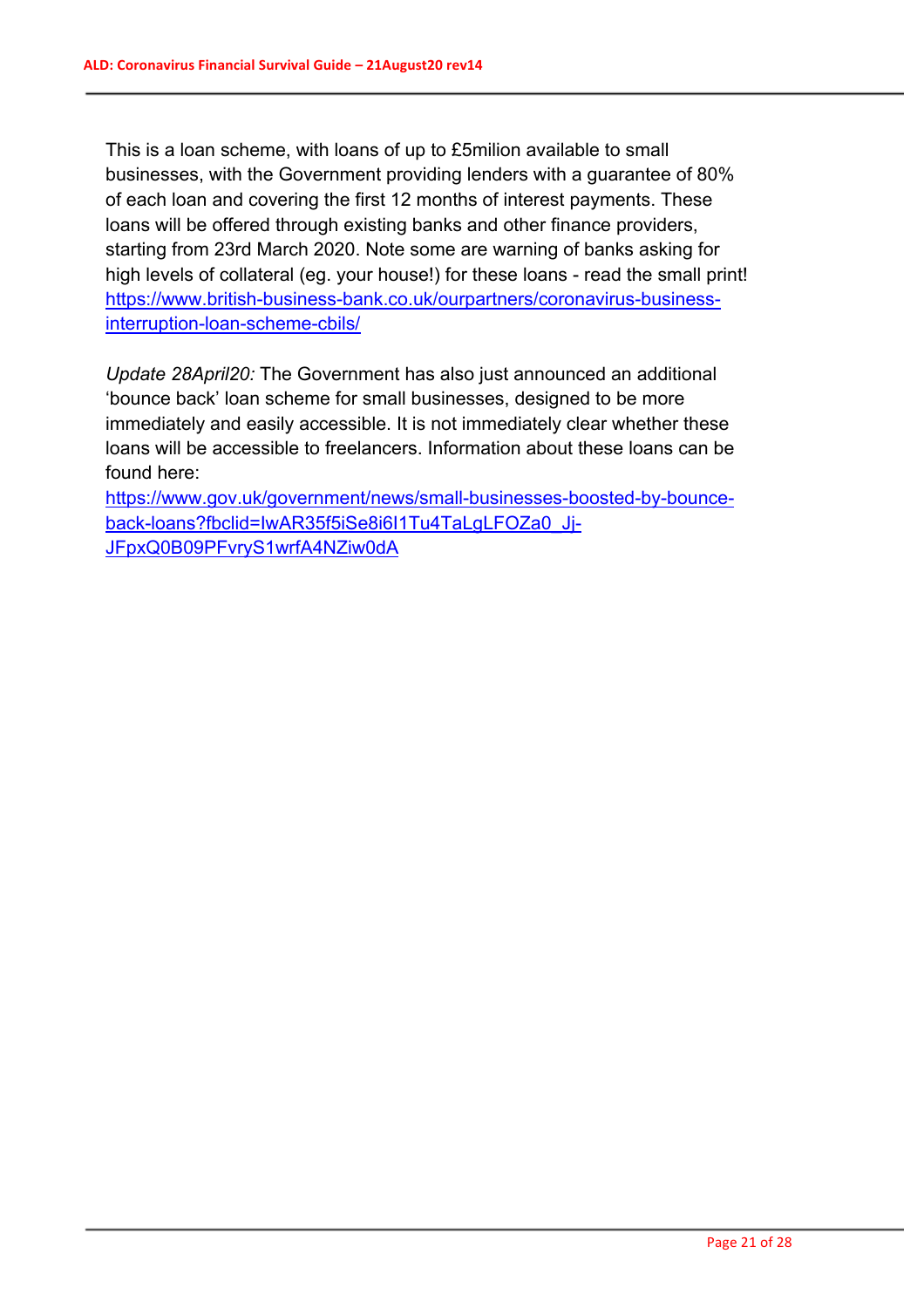This is a loan scheme, with loans of up to £5milion available to small businesses, with the Government providing lenders with a guarantee of 80% of each loan and covering the first 12 months of interest payments. These loans will be offered through existing banks and other finance providers, starting from 23rd March 2020. Note some are warning of banks asking for high levels of collateral (eg. your house!) for these loans - read the small print! https://www.british-business-bank.co.uk/ourpartners/coronavirus-businessinterruption-loan-scheme-cbils/

*Update 28April20:* The Government has also just announced an additional 'bounce back' loan scheme for small businesses, designed to be more immediately and easily accessible. It is not immediately clear whether these loans will be accessible to freelancers. Information about these loans can be found here:

https://www.gov.uk/government/news/small-businesses-boosted-by-bounceback-loans?fbclid=IwAR35f5iSe8i6I1Tu4TaLgLFOZa0\_Jj-JFpxQ0B09PFvryS1wrfA4NZiw0dA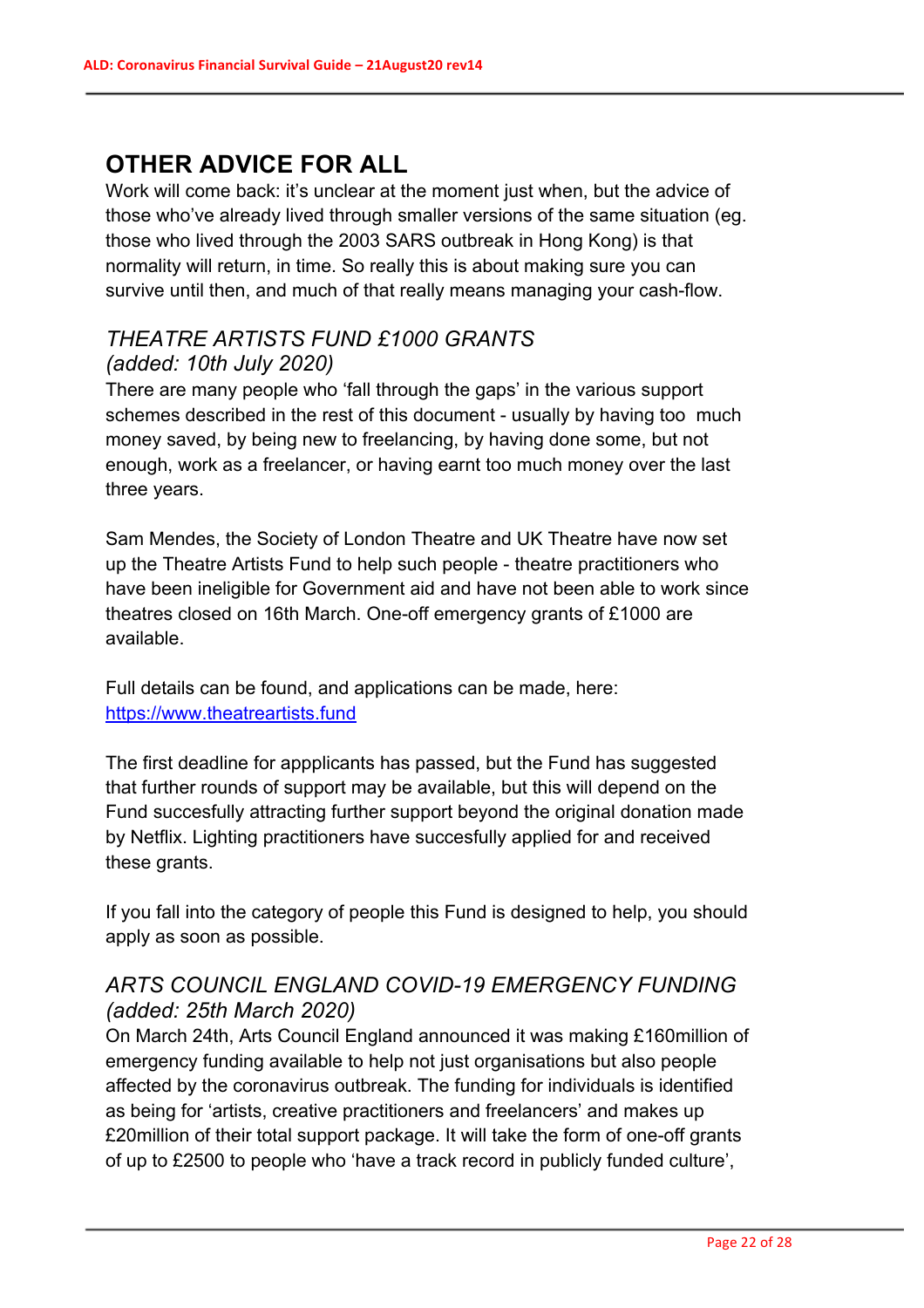# **OTHER ADVICE FOR ALL**

Work will come back: it's unclear at the moment just when, but the advice of those who've already lived through smaller versions of the same situation (eg. those who lived through the 2003 SARS outbreak in Hong Kong) is that normality will return, in time. So really this is about making sure you can survive until then, and much of that really means managing your cash-flow.

## *THEATRE ARTISTS FUND £1000 GRANTS (added: 10th July 2020)*

There are many people who 'fall through the gaps' in the various support schemes described in the rest of this document - usually by having too much money saved, by being new to freelancing, by having done some, but not enough, work as a freelancer, or having earnt too much money over the last three years.

Sam Mendes, the Society of London Theatre and UK Theatre have now set up the Theatre Artists Fund to help such people - theatre practitioners who have been ineligible for Government aid and have not been able to work since theatres closed on 16th March. One-off emergency grants of £1000 are available.

Full details can be found, and applications can be made, here: https://www.theatreartists.fund

The first deadline for appplicants has passed, but the Fund has suggested that further rounds of support may be available, but this will depend on the Fund succesfully attracting further support beyond the original donation made by Netflix. Lighting practitioners have succesfully applied for and received these grants.

If you fall into the category of people this Fund is designed to help, you should apply as soon as possible.

# *ARTS COUNCIL ENGLAND COVID-19 EMERGENCY FUNDING (added: 25th March 2020)*

On March 24th, Arts Council England announced it was making £160million of emergency funding available to help not just organisations but also people affected by the coronavirus outbreak. The funding for individuals is identified as being for 'artists, creative practitioners and freelancers' and makes up £20million of their total support package. It will take the form of one-off grants of up to £2500 to people who 'have a track record in publicly funded culture',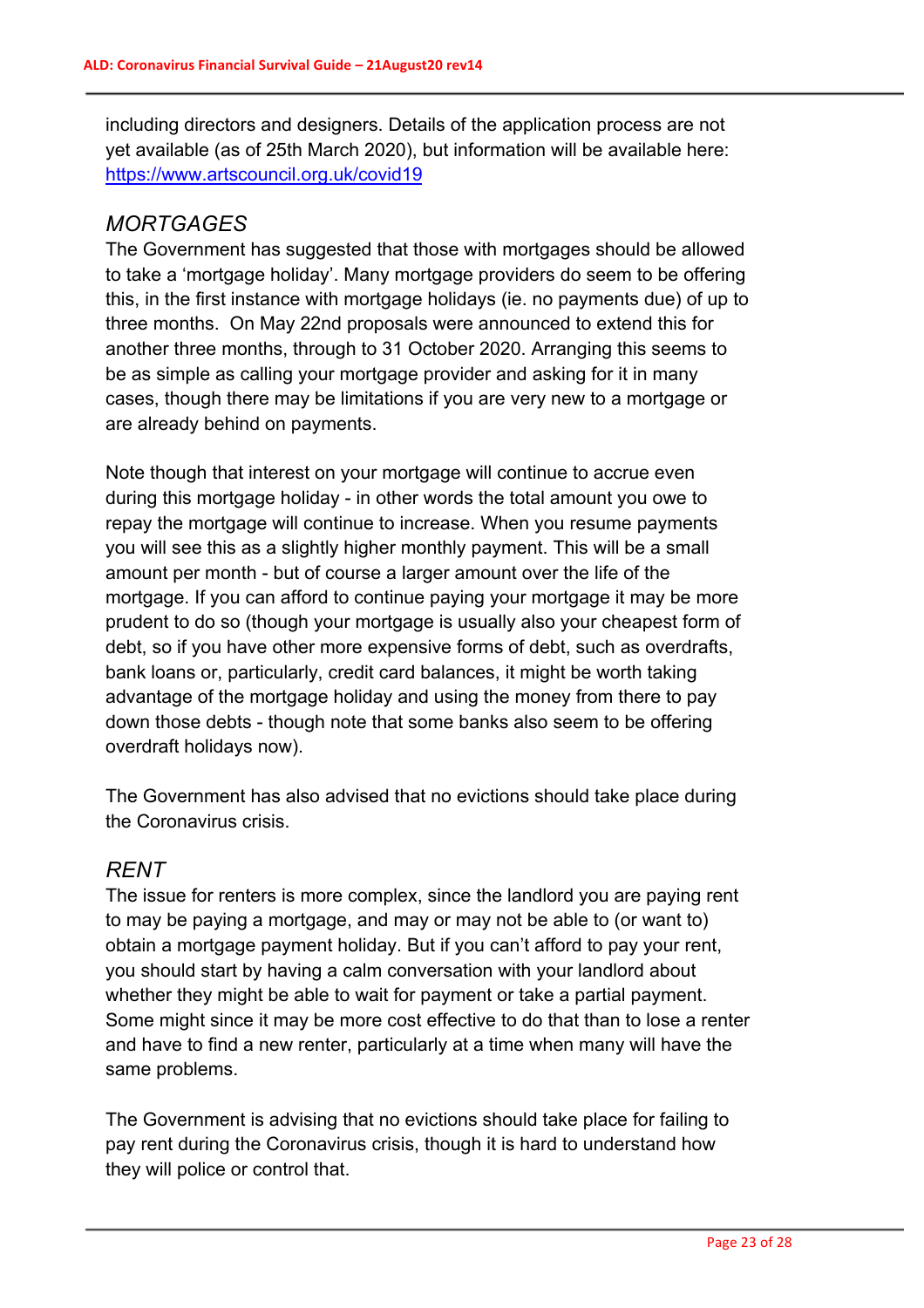including directors and designers. Details of the application process are not yet available (as of 25th March 2020), but information will be available here: https://www.artscouncil.org.uk/covid19

## *MORTGAGES*

The Government has suggested that those with mortgages should be allowed to take a 'mortgage holiday'. Many mortgage providers do seem to be offering this, in the first instance with mortgage holidays (ie. no payments due) of up to three months. On May 22nd proposals were announced to extend this for another three months, through to 31 October 2020. Arranging this seems to be as simple as calling your mortgage provider and asking for it in many cases, though there may be limitations if you are very new to a mortgage or are already behind on payments.

Note though that interest on your mortgage will continue to accrue even during this mortgage holiday - in other words the total amount you owe to repay the mortgage will continue to increase. When you resume payments you will see this as a slightly higher monthly payment. This will be a small amount per month - but of course a larger amount over the life of the mortgage. If you can afford to continue paying your mortgage it may be more prudent to do so (though your mortgage is usually also your cheapest form of debt, so if you have other more expensive forms of debt, such as overdrafts, bank loans or, particularly, credit card balances, it might be worth taking advantage of the mortgage holiday and using the money from there to pay down those debts - though note that some banks also seem to be offering overdraft holidays now).

The Government has also advised that no evictions should take place during the Coronavirus crisis.

# *RENT*

The issue for renters is more complex, since the landlord you are paying rent to may be paying a mortgage, and may or may not be able to (or want to) obtain a mortgage payment holiday. But if you can't afford to pay your rent, you should start by having a calm conversation with your landlord about whether they might be able to wait for payment or take a partial payment. Some might since it may be more cost effective to do that than to lose a renter and have to find a new renter, particularly at a time when many will have the same problems.

The Government is advising that no evictions should take place for failing to pay rent during the Coronavirus crisis, though it is hard to understand how they will police or control that.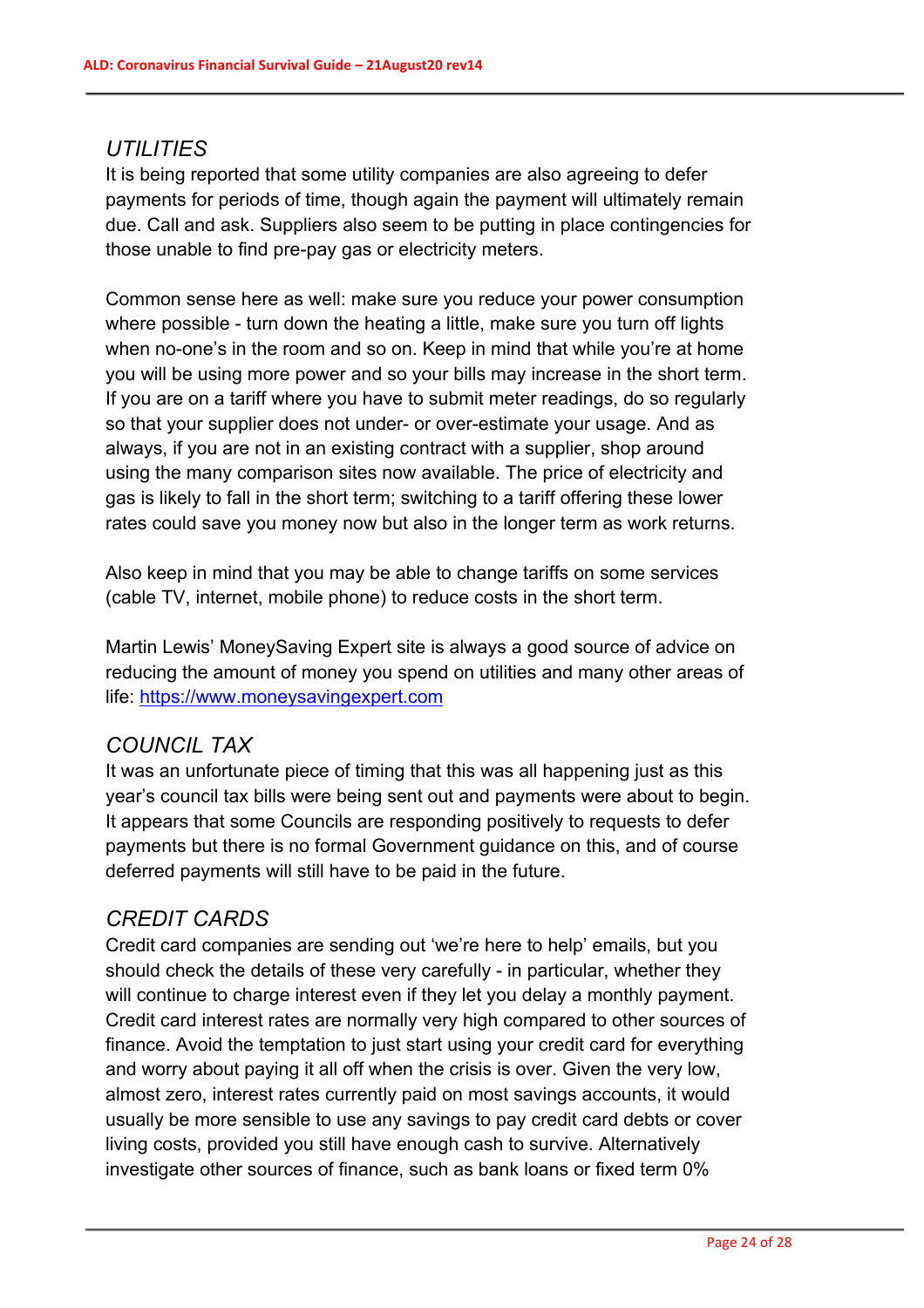#### *UTILITIES*

It is being reported that some utility companies are also agreeing to defer payments for periods of time, though again the payment will ultimately remain due. Call and ask. Suppliers also seem to be putting in place contingencies for those unable to find pre-pay gas or electricity meters.

Common sense here as well: make sure you reduce your power consumption where possible - turn down the heating a little, make sure you turn off lights when no-one's in the room and so on. Keep in mind that while you're at home you will be using more power and so your bills may increase in the short term. If you are on a tariff where you have to submit meter readings, do so regularly so that your supplier does not under- or over-estimate your usage. And as always, if you are not in an existing contract with a supplier, shop around using the many comparison sites now available. The price of electricity and gas is likely to fall in the short term; switching to a tariff offering these lower rates could save you money now but also in the longer term as work returns.

Also keep in mind that you may be able to change tariffs on some services (cable TV, internet, mobile phone) to reduce costs in the short term.

Martin Lewis' MoneySaving Expert site is always a good source of advice on reducing the amount of money you spend on utilities and many other areas of life: https://www.moneysavingexpert.com

## *COUNCIL TAX*

It was an unfortunate piece of timing that this was all happening just as this year's council tax bills were being sent out and payments were about to begin. It appears that some Councils are responding positively to requests to defer payments but there is no formal Government guidance on this, and of course deferred payments will still have to be paid in the future.

## *CREDIT CARDS*

Credit card companies are sending out 'we're here to help' emails, but you should check the details of these very carefully - in particular, whether they will continue to charge interest even if they let you delay a monthly payment. Credit card interest rates are normally very high compared to other sources of finance. Avoid the temptation to just start using your credit card for everything and worry about paying it all off when the crisis is over. Given the very low, almost zero, interest rates currently paid on most savings accounts, it would usually be more sensible to use any savings to pay credit card debts or cover living costs, provided you still have enough cash to survive. Alternatively investigate other sources of finance, such as bank loans or fixed term 0%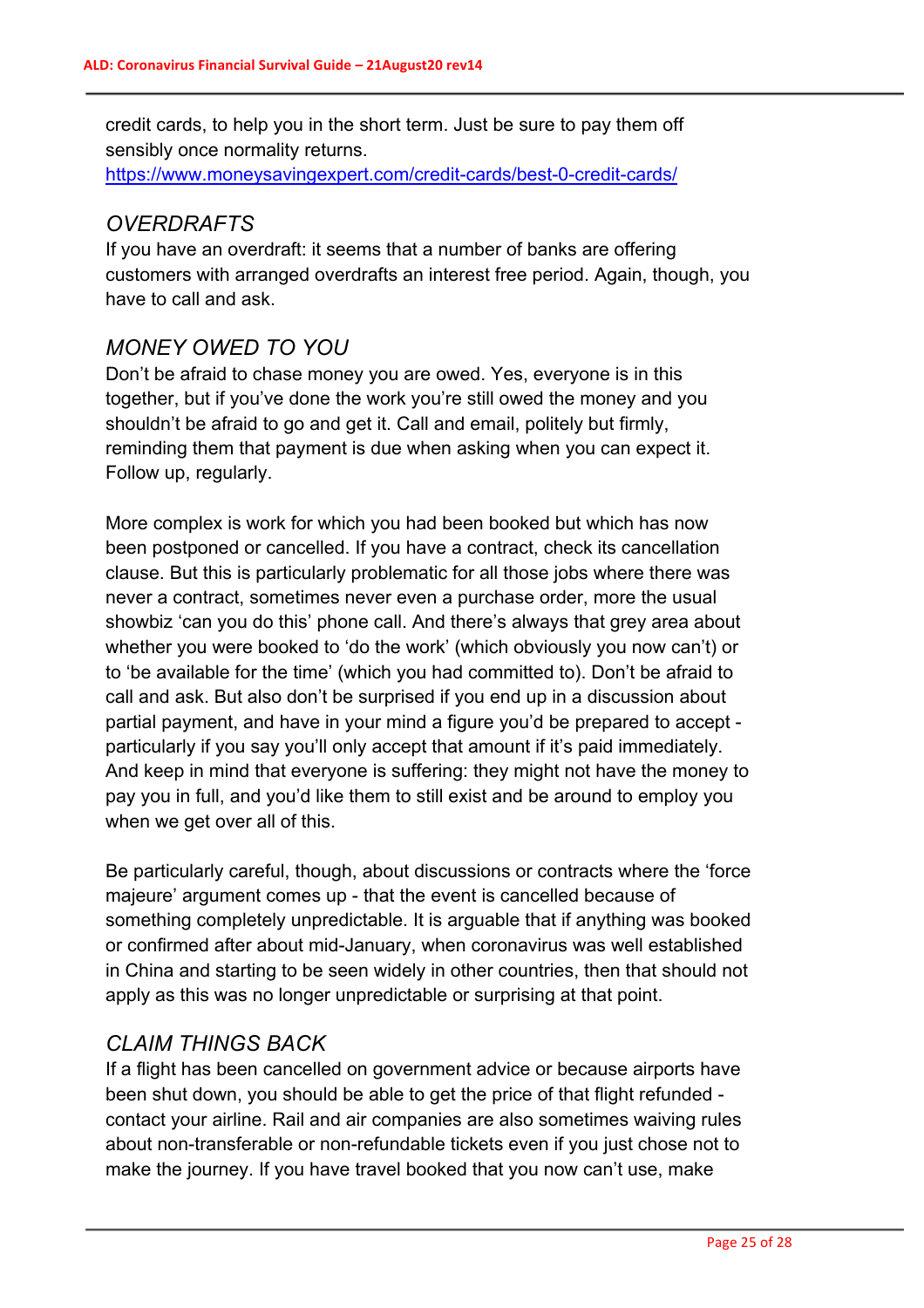credit cards, to help you in the short term. Just be sure to pay them off sensibly once normality returns.

https://www.moneysavingexpert.com/credit-cards/best-0-credit-cards/

## *OVERDRAFTS*

If you have an overdraft: it seems that a number of banks are offering customers with arranged overdrafts an interest free period. Again, though, you have to call and ask.

# *MONEY OWED TO YOU*

Don't be afraid to chase money you are owed. Yes, everyone is in this together, but if you've done the work you're still owed the money and you shouldn't be afraid to go and get it. Call and email, politely but firmly, reminding them that payment is due when asking when you can expect it. Follow up, regularly.

More complex is work for which you had been booked but which has now been postponed or cancelled. If you have a contract, check its cancellation clause. But this is particularly problematic for all those jobs where there was never a contract, sometimes never even a purchase order, more the usual showbiz 'can you do this' phone call. And there's always that grey area about whether you were booked to 'do the work' (which obviously you now can't) or to 'be available for the time' (which you had committed to). Don't be afraid to call and ask. But also don't be surprised if you end up in a discussion about partial payment, and have in your mind a figure you'd be prepared to accept particularly if you say you'll only accept that amount if it's paid immediately. And keep in mind that everyone is suffering: they might not have the money to pay you in full, and you'd like them to still exist and be around to employ you when we get over all of this.

Be particularly careful, though, about discussions or contracts where the 'force majeure' argument comes up - that the event is cancelled because of something completely unpredictable. It is arguable that if anything was booked or confirmed after about mid-January, when coronavirus was well established in China and starting to be seen widely in other countries, then that should not apply as this was no longer unpredictable or surprising at that point.

## *CLAIM THINGS BACK*

If a flight has been cancelled on government advice or because airports have been shut down, you should be able to get the price of that flight refunded contact your airline. Rail and air companies are also sometimes waiving rules about non-transferable or non-refundable tickets even if you just chose not to make the journey. If you have travel booked that you now can't use, make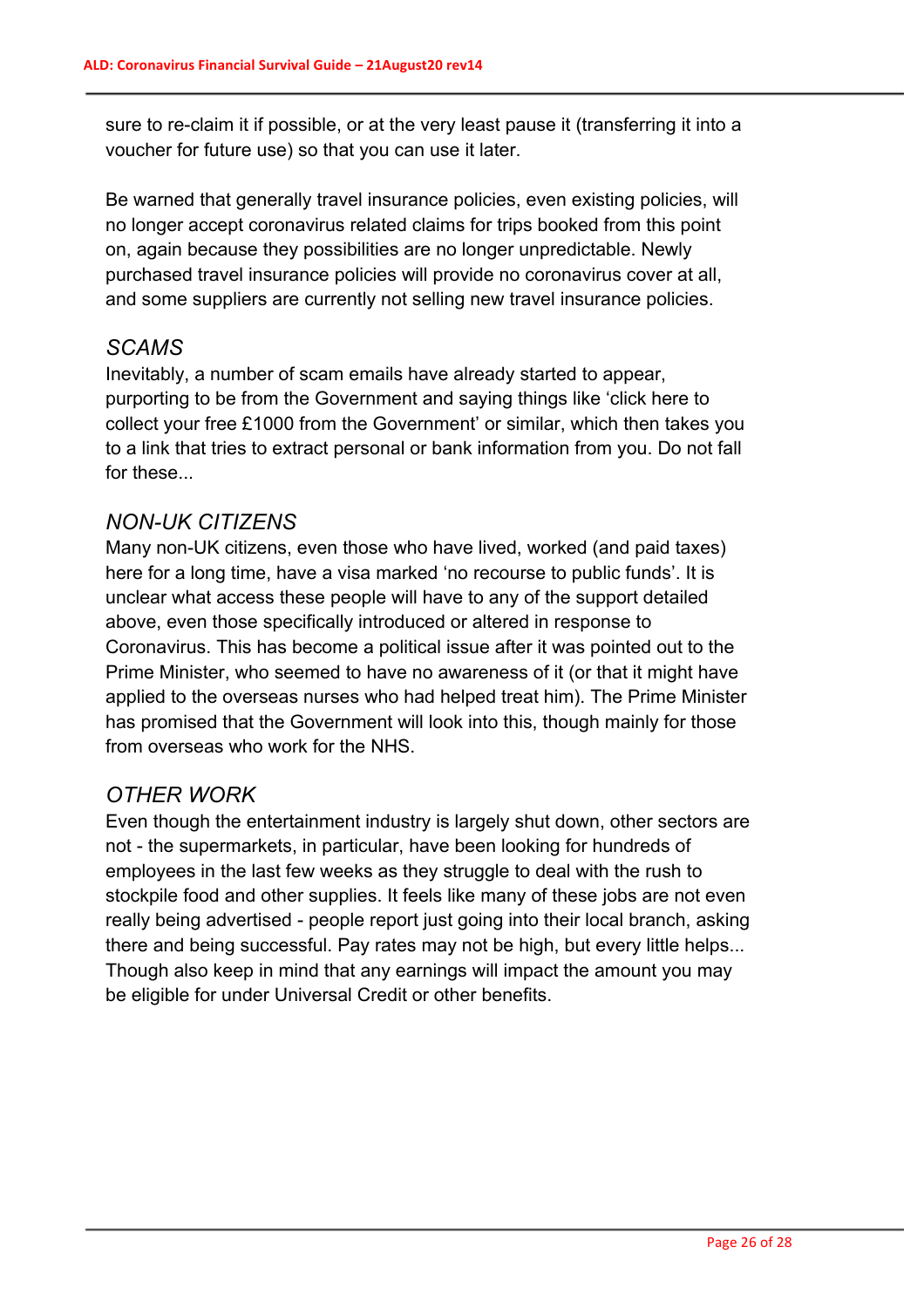sure to re-claim it if possible, or at the very least pause it (transferring it into a voucher for future use) so that you can use it later.

Be warned that generally travel insurance policies, even existing policies, will no longer accept coronavirus related claims for trips booked from this point on, again because they possibilities are no longer unpredictable. Newly purchased travel insurance policies will provide no coronavirus cover at all, and some suppliers are currently not selling new travel insurance policies.

## *SCAMS*

Inevitably, a number of scam emails have already started to appear, purporting to be from the Government and saying things like 'click here to collect your free £1000 from the Government' or similar, which then takes you to a link that tries to extract personal or bank information from you. Do not fall for these...

#### *NON-UK CITIZENS*

Many non-UK citizens, even those who have lived, worked (and paid taxes) here for a long time, have a visa marked 'no recourse to public funds'. It is unclear what access these people will have to any of the support detailed above, even those specifically introduced or altered in response to Coronavirus. This has become a political issue after it was pointed out to the Prime Minister, who seemed to have no awareness of it (or that it might have applied to the overseas nurses who had helped treat him). The Prime Minister has promised that the Government will look into this, though mainly for those from overseas who work for the NHS.

## *OTHER WORK*

Even though the entertainment industry is largely shut down, other sectors are not - the supermarkets, in particular, have been looking for hundreds of employees in the last few weeks as they struggle to deal with the rush to stockpile food and other supplies. It feels like many of these jobs are not even really being advertised - people report just going into their local branch, asking there and being successful. Pay rates may not be high, but every little helps... Though also keep in mind that any earnings will impact the amount you may be eligible for under Universal Credit or other benefits.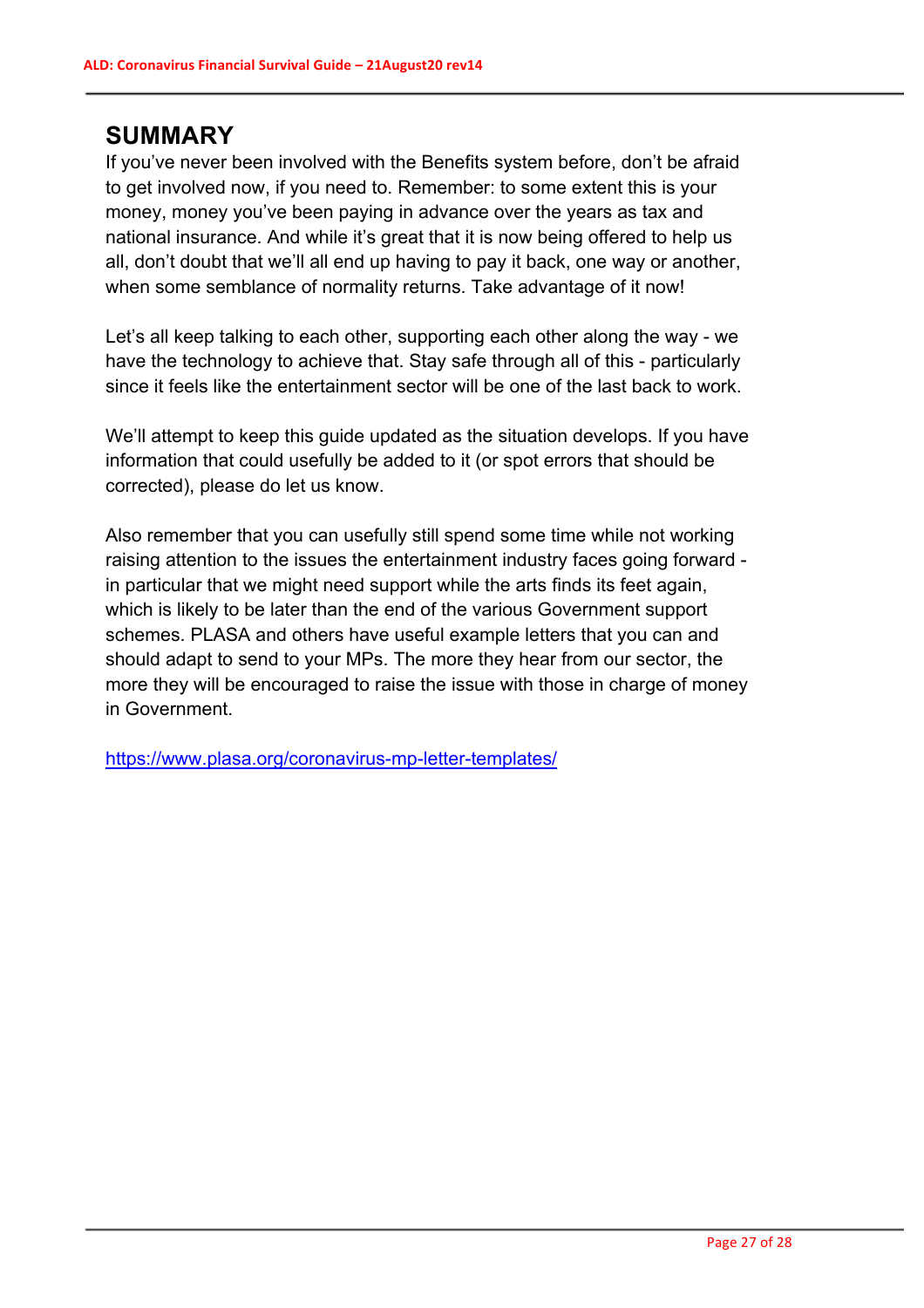# **SUMMARY**

If you've never been involved with the Benefits system before, don't be afraid to get involved now, if you need to. Remember: to some extent this is your money, money you've been paying in advance over the years as tax and national insurance. And while it's great that it is now being offered to help us all, don't doubt that we'll all end up having to pay it back, one way or another, when some semblance of normality returns. Take advantage of it now!

Let's all keep talking to each other, supporting each other along the way - we have the technology to achieve that. Stay safe through all of this - particularly since it feels like the entertainment sector will be one of the last back to work.

We'll attempt to keep this guide updated as the situation develops. If you have information that could usefully be added to it (or spot errors that should be corrected), please do let us know.

Also remember that you can usefully still spend some time while not working raising attention to the issues the entertainment industry faces going forward in particular that we might need support while the arts finds its feet again, which is likely to be later than the end of the various Government support schemes. PLASA and others have useful example letters that you can and should adapt to send to your MPs. The more they hear from our sector, the more they will be encouraged to raise the issue with those in charge of money in Government.

https://www.plasa.org/coronavirus-mp-letter-templates/